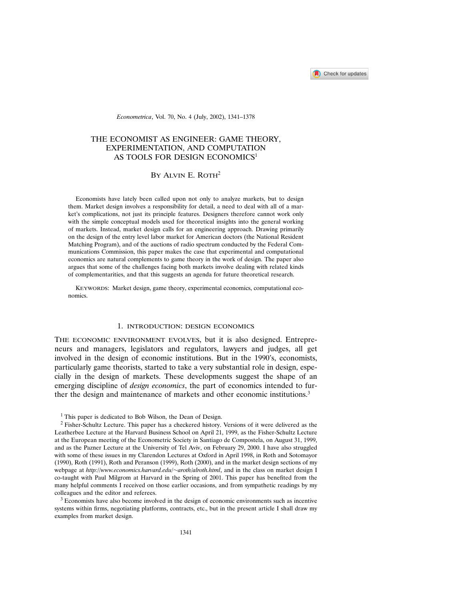Check for updates

Econometrica, Vol. 70, No. 4 (July, 2002), 1341–1378

# THE ECONOMIST AS ENGINEER: GAME THEORY, EXPERIMENTATION, AND COMPUTATION AS TOOLS FOR DESIGN ECONOMICS<sup>1</sup>

# BY ALVIN E. ROTH<sup>2</sup>

Economists have lately been called upon not only to analyze markets, but to design them. Market design involves a responsibility for detail, a need to deal with all of a market's complications, not just its principle features. Designers therefore cannot work only with the simple conceptual models used for theoretical insights into the general working of markets. Instead, market design calls for an engineering approach. Drawing primarily on the design of the entry level labor market for American doctors (the National Resident Matching Program), and of the auctions of radio spectrum conducted by the Federal Communications Commission, this paper makes the case that experimental and computational economics are natural complements to game theory in the work of design. The paper also argues that some of the challenges facing both markets involve dealing with related kinds of complementarities, and that this suggests an agenda for future theoretical research.

KEYWORDS: Market design, game theory, experimental economics, computational economics.

#### 1. INTRODUCTION: DESIGN ECONOMICS

The economic environment evolves, but it is also designed. Entrepreneurs and managers, legislators and regulators, lawyers and judges, all get involved in the design of economic institutions. But in the 1990's, economists, particularly game theorists, started to take a very substantial role in design, especially in the design of markets. These developments suggest the shape of an emerging discipline of *design economics*, the part of economics intended to further the design and maintenance of markets and other economic institutions.<sup>3</sup>

<sup>1</sup> This paper is dedicated to Bob Wilson, the Dean of Design.

<sup>2</sup> Fisher-Schultz Lecture. This paper has a checkered history. Versions of it were delivered as the Leatherbee Lecture at the Harvard Business School on April 21, 1999, as the Fisher-Schultz Lecture at the European meeting of the Econometric Society in Santiago de Compostela, on August 31, 1999, and as the Pazner Lecture at the University of Tel Aviv, on February 29, 2000. I have also struggled with some of these issues in my Clarendon Lectures at Oxford in April 1998, in Roth and Sotomayor (1990), Roth (1991), Roth and Peranson (1999), Roth (2000), and in the market design sections of my webpage at http://www.economics.harvard.edu/∼aroth/alroth.html, and in the class on market design I co-taught with Paul Milgrom at Harvard in the Spring of 2001. This paper has benefited from the many helpful comments I received on those earlier occasions, and from sympathetic readings by my colleagues and the editor and referees.

<sup>3</sup> Economists have also become involved in the design of economic environments such as incentive systems within firms, negotiating platforms, contracts, etc., but in the present article I shall draw my examples from market design.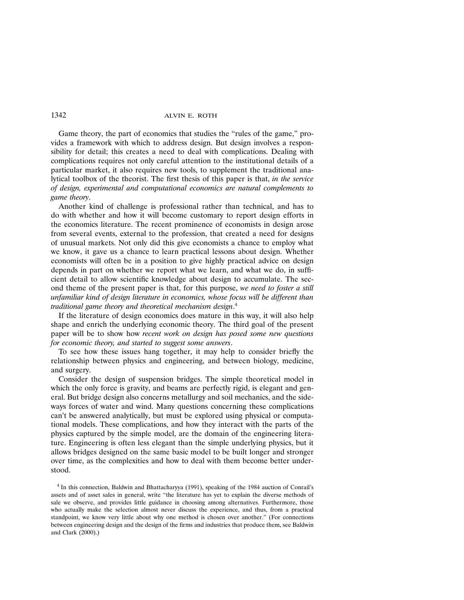### 1342 **ALVIN E. ROTH**

Game theory, the part of economics that studies the "rules of the game," provides a framework with which to address design. But design involves a responsibility for detail; this creates a need to deal with complications. Dealing with complications requires not only careful attention to the institutional details of a particular market, it also requires new tools, to supplement the traditional analytical toolbox of the theorist. The first thesis of this paper is that, in the service of design, experimental and computational economics are natural complements to game theory.

Another kind of challenge is professional rather than technical, and has to do with whether and how it will become customary to report design efforts in the economics literature. The recent prominence of economists in design arose from several events, external to the profession, that created a need for designs of unusual markets. Not only did this give economists a chance to employ what we know, it gave us a chance to learn practical lessons about design. Whether economists will often be in a position to give highly practical advice on design depends in part on whether we report what we learn, and what we do, in sufficient detail to allow scientific knowledge about design to accumulate. The second theme of the present paper is that, for this purpose, we need to foster a still unfamiliar kind of design literature in economics, whose focus will be different than traditional game theory and theoretical mechanism design. 4

If the literature of design economics does mature in this way, it will also help shape and enrich the underlying economic theory. The third goal of the present paper will be to show how recent work on design has posed some new questions for economic theory, and started to suggest some answers.

To see how these issues hang together, it may help to consider briefly the relationship between physics and engineering, and between biology, medicine, and surgery.

Consider the design of suspension bridges. The simple theoretical model in which the only force is gravity, and beams are perfectly rigid, is elegant and general. But bridge design also concerns metallurgy and soil mechanics, and the sideways forces of water and wind. Many questions concerning these complications can't be answered analytically, but must be explored using physical or computational models. These complications, and how they interact with the parts of the physics captured by the simple model, are the domain of the engineering literature. Engineering is often less elegant than the simple underlying physics, but it allows bridges designed on the same basic model to be built longer and stronger over time, as the complexities and how to deal with them become better understood.

<sup>4</sup> In this connection, Baldwin and Bhattacharyya (1991), speaking of the 1984 auction of Conrail's assets and of asset sales in general, write "the literature has yet to explain the diverse methods of sale we observe, and provides little guidance in choosing among alternatives. Furthermore, those who actually make the selection almost never discuss the experience, and thus, from a practical standpoint, we know very little about why one method is chosen over another." (For connections between engineering design and the design of the firms and industries that produce them, see Baldwin and Clark (2000).)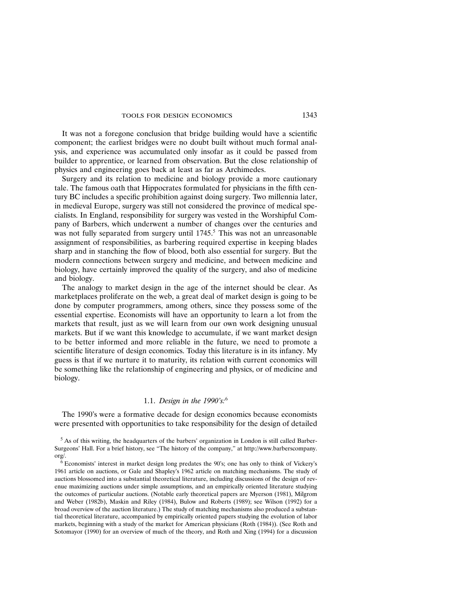It was not a foregone conclusion that bridge building would have a scientific component; the earliest bridges were no doubt built without much formal analysis, and experience was accumulated only insofar as it could be passed from builder to apprentice, or learned from observation. But the close relationship of physics and engineering goes back at least as far as Archimedes.

Surgery and its relation to medicine and biology provide a more cautionary tale. The famous oath that Hippocrates formulated for physicians in the fifth century BC includes a specific prohibition against doing surgery. Two millennia later, in medieval Europe, surgery was still not considered the province of medical specialists. In England, responsibility for surgery was vested in the Worshipful Company of Barbers, which underwent a number of changes over the centuries and was not fully separated from surgery until  $1745$ <sup>5</sup>. This was not an unreasonable assignment of responsibilities, as barbering required expertise in keeping blades sharp and in stanching the flow of blood, both also essential for surgery. But the modern connections between surgery and medicine, and between medicine and biology, have certainly improved the quality of the surgery, and also of medicine and biology.

The analogy to market design in the age of the internet should be clear. As marketplaces proliferate on the web, a great deal of market design is going to be done by computer programmers, among others, since they possess some of the essential expertise. Economists will have an opportunity to learn a lot from the markets that result, just as we will learn from our own work designing unusual markets. But if we want this knowledge to accumulate, if we want market design to be better informed and more reliable in the future, we need to promote a scientific literature of design economics. Today this literature is in its infancy. My guess is that if we nurture it to maturity, its relation with current economics will be something like the relationship of engineering and physics, or of medicine and biology.

# 1.1. Design in the  $1990's$ :<sup>6</sup>

The 1990's were a formative decade for design economics because economists were presented with opportunities to take responsibility for the design of detailed

 $<sup>5</sup>$  As of this writing, the headquarters of the barbers' organization in London is still called Barber-</sup> Surgeons' Hall. For a brief history, see "The history of the company," at http://www.barberscompany. org/.

<sup>6</sup> Economists' interest in market design long predates the 90's; one has only to think of Vickery's 1961 article on auctions, or Gale and Shapley's 1962 article on matching mechanisms. The study of auctions blossomed into a substantial theoretical literature, including discussions of the design of revenue maximizing auctions under simple assumptions, and an empirically oriented literature studying the outcomes of particular auctions. (Notable early theoretical papers are Myerson (1981), Milgrom and Weber (1982b), Maskin and Riley (1984), Bulow and Roberts (1989); see Wilson (1992) for a broad overview of the auction literature.) The study of matching mechanisms also produced a substantial theoretical literature, accompanied by empirically oriented papers studying the evolution of labor markets, beginning with a study of the market for American physicians (Roth (1984)). (See Roth and Sotomayor (1990) for an overview of much of the theory, and Roth and Xing (1994) for a discussion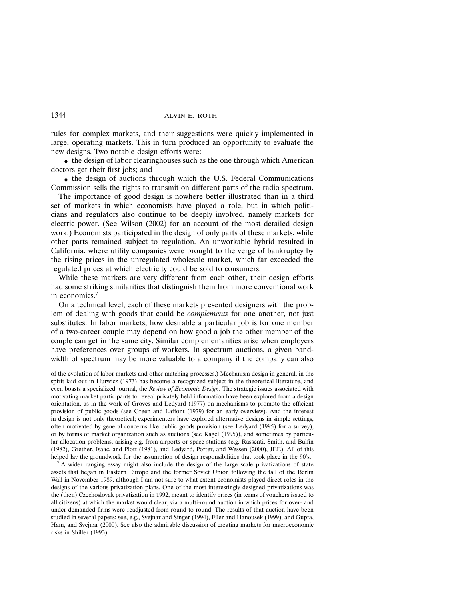rules for complex markets, and their suggestions were quickly implemented in large, operating markets. This in turn produced an opportunity to evaluate the new designs. Two notable design efforts were:

• the design of labor clearinghouses such as the one through which American doctors get their first jobs; and

• the design of auctions through which the U.S. Federal Communications Commission sells the rights to transmit on different parts of the radio spectrum.

The importance of good design is nowhere better illustrated than in a third set of markets in which economists have played a role, but in which politicians and regulators also continue to be deeply involved, namely markets for electric power. (See Wilson (2002) for an account of the most detailed design work.) Economists participated in the design of only parts of these markets, while other parts remained subject to regulation. An unworkable hybrid resulted in California, where utility companies were brought to the verge of bankruptcy by the rising prices in the unregulated wholesale market, which far exceeded the regulated prices at which electricity could be sold to consumers.

While these markets are very different from each other, their design efforts had some striking similarities that distinguish them from more conventional work in economics.7

On a technical level, each of these markets presented designers with the problem of dealing with goods that could be complements for one another, not just substitutes. In labor markets, how desirable a particular job is for one member of a two-career couple may depend on how good a job the other member of the couple can get in the same city. Similar complementarities arise when employers have preferences over groups of workers. In spectrum auctions, a given bandwidth of spectrum may be more valuable to a company if the company can also

of the evolution of labor markets and other matching processes.) Mechanism design in general, in the spirit laid out in Hurwicz (1973) has become a recognized subject in the theoretical literature, and even boasts a specialized journal, the Review of Economic Design. The strategic issues associated with motivating market participants to reveal privately held information have been explored from a design orientation, as in the work of Groves and Ledyard (1977) on mechanisms to promote the efficient provision of public goods (see Green and Laffont (1979) for an early overview). And the interest in design is not only theoretical; experimenters have explored alternative designs in simple settings, often motivated by general concerns like public goods provision (see Ledyard (1995) for a survey), or by forms of market organization such as auctions (see Kagel (1995)), and sometimes by particular allocation problems, arising e.g. from airports or space stations (e.g. Rassenti, Smith, and Bulfin (1982), Grether, Isaac, and Plott (1981), and Ledyard, Porter, and Wessen (2000), JEE). All of this helped lay the groundwork for the assumption of design responsibilities that took place in the 90's.

<sup>7</sup> A wider ranging essay might also include the design of the large scale privatizations of state assets that began in Eastern Europe and the former Soviet Union following the fall of the Berlin Wall in November 1989, although I am not sure to what extent economists played direct roles in the designs of the various privatization plans. One of the most interestingly designed privatizations was the (then) Czechoslovak privatization in 1992, meant to identify prices (in terms of vouchers issued to all citizens) at which the market would clear, via a multi-round auction in which prices for over- and under-demanded firms were readjusted from round to round. The results of that auction have been studied in several papers; see, e.g., Svejnar and Singer (1994), Filer and Hanousek (1999), and Gupta, Ham, and Svejnar (2000). See also the admirable discussion of creating markets for macroeconomic risks in Shiller (1993).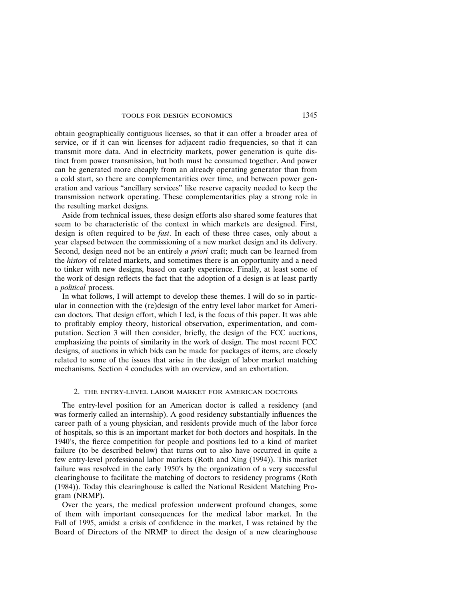obtain geographically contiguous licenses, so that it can offer a broader area of service, or if it can win licenses for adjacent radio frequencies, so that it can transmit more data. And in electricity markets, power generation is quite distinct from power transmission, but both must be consumed together. And power can be generated more cheaply from an already operating generator than from a cold start, so there are complementarities over time, and between power generation and various "ancillary services" like reserve capacity needed to keep the transmission network operating. These complementarities play a strong role in the resulting market designs.

Aside from technical issues, these design efforts also shared some features that seem to be characteristic of the context in which markets are designed. First, design is often required to be fast. In each of these three cases, only about a year elapsed between the commissioning of a new market design and its delivery. Second, design need not be an entirely *a priori* craft; much can be learned from the history of related markets, and sometimes there is an opportunity and a need to tinker with new designs, based on early experience. Finally, at least some of the work of design reflects the fact that the adoption of a design is at least partly a political process.

In what follows, I will attempt to develop these themes. I will do so in particular in connection with the (re)design of the entry level labor market for American doctors. That design effort, which I led, is the focus of this paper. It was able to profitably employ theory, historical observation, experimentation, and computation. Section 3 will then consider, briefly, the design of the FCC auctions, emphasizing the points of similarity in the work of design. The most recent FCC designs, of auctions in which bids can be made for packages of items, are closely related to some of the issues that arise in the design of labor market matching mechanisms. Section 4 concludes with an overview, and an exhortation.

## 2 the entry-level labor market for american doctors

The entry-level position for an American doctor is called a residency (and was formerly called an internship). A good residency substantially influences the career path of a young physician, and residents provide much of the labor force of hospitals, so this is an important market for both doctors and hospitals. In the 1940's, the fierce competition for people and positions led to a kind of market failure (to be described below) that turns out to also have occurred in quite a few entry-level professional labor markets (Roth and Xing (1994)). This market failure was resolved in the early 1950's by the organization of a very successful clearinghouse to facilitate the matching of doctors to residency programs (Roth (1984)). Today this clearinghouse is called the National Resident Matching Program (NRMP).

Over the years, the medical profession underwent profound changes, some of them with important consequences for the medical labor market. In the Fall of 1995, amidst a crisis of confidence in the market, I was retained by the Board of Directors of the NRMP to direct the design of a new clearinghouse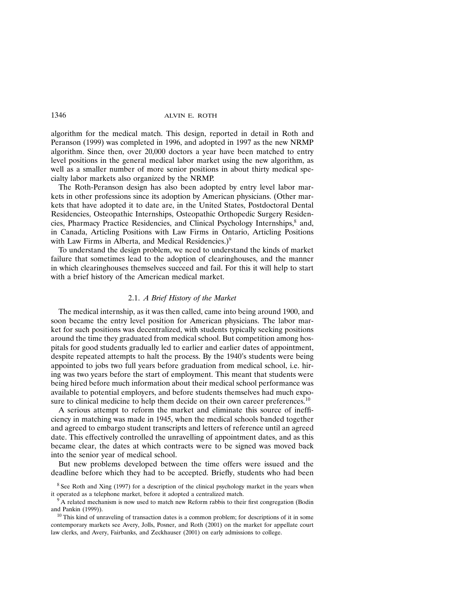algorithm for the medical match. This design, reported in detail in Roth and Peranson (1999) was completed in 1996, and adopted in 1997 as the new NRMP algorithm. Since then, over 20,000 doctors a year have been matched to entry level positions in the general medical labor market using the new algorithm, as well as a smaller number of more senior positions in about thirty medical specialty labor markets also organized by the NRMP.

The Roth-Peranson design has also been adopted by entry level labor markets in other professions since its adoption by American physicians. (Other markets that have adopted it to date are, in the United States, Postdoctoral Dental Residencies, Osteopathic Internships, Osteopathic Orthopedic Surgery Residencies, Pharmacy Practice Residencies, and Clinical Psychology Internships,<sup>8</sup> and, in Canada, Articling Positions with Law Firms in Ontario, Articling Positions with Law Firms in Alberta, and Medical Residencies.) $9$ 

To understand the design problem, we need to understand the kinds of market failure that sometimes lead to the adoption of clearinghouses, and the manner in which clearinghouses themselves succeed and fail. For this it will help to start with a brief history of the American medical market.

## 2.1. A Brief History of the Market

The medical internship, as it was then called, came into being around 1900, and soon became the entry level position for American physicians. The labor market for such positions was decentralized, with students typically seeking positions around the time they graduated from medical school. But competition among hospitals for good students gradually led to earlier and earlier dates of appointment, despite repeated attempts to halt the process. By the 1940's students were being appointed to jobs two full years before graduation from medical school, i.e. hiring was two years before the start of employment. This meant that students were being hired before much information about their medical school performance was available to potential employers, and before students themselves had much exposure to clinical medicine to help them decide on their own career preferences.<sup>10</sup>

A serious attempt to reform the market and eliminate this source of inefficiency in matching was made in 1945, when the medical schools banded together and agreed to embargo student transcripts and letters of reference until an agreed date. This effectively controlled the unravelling of appointment dates, and as this became clear, the dates at which contracts were to be signed was moved back into the senior year of medical school.

But new problems developed between the time offers were issued and the deadline before which they had to be accepted. Briefly, students who had been

 $8$  See Roth and Xing (1997) for a description of the clinical psychology market in the years when it operated as a telephone market, before it adopted a centralized match.

 $9<sup>9</sup>$  A related mechanism is now used to match new Reform rabbis to their first congregation (Bodin and Pankin (1999)).

 $10$  This kind of unraveling of transaction dates is a common problem; for descriptions of it in some contemporary markets see Avery, Jolls, Posner, and Roth (2001) on the market for appellate court law clerks, and Avery, Fairbanks, and Zeckhauser (2001) on early admissions to college.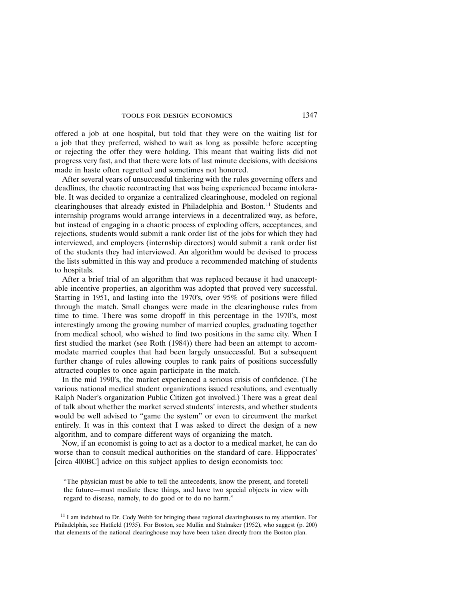offered a job at one hospital, but told that they were on the waiting list for a job that they preferred, wished to wait as long as possible before accepting or rejecting the offer they were holding. This meant that waiting lists did not progress very fast, and that there were lots of last minute decisions, with decisions made in haste often regretted and sometimes not honored.

After several years of unsuccessful tinkering with the rules governing offers and deadlines, the chaotic recontracting that was being experienced became intolerable. It was decided to organize a centralized clearinghouse, modeled on regional clearinghouses that already existed in Philadelphia and Boston.<sup>11</sup> Students and internship programs would arrange interviews in a decentralized way, as before, but instead of engaging in a chaotic process of exploding offers, acceptances, and rejections, students would submit a rank order list of the jobs for which they had interviewed, and employers (internship directors) would submit a rank order list of the students they had interviewed. An algorithm would be devised to process the lists submitted in this way and produce a recommended matching of students to hospitals.

After a brief trial of an algorithm that was replaced because it had unacceptable incentive properties, an algorithm was adopted that proved very successful. Starting in 1951, and lasting into the 1970's, over 95% of positions were filled through the match. Small changes were made in the clearinghouse rules from time to time. There was some dropoff in this percentage in the 1970's, most interestingly among the growing number of married couples, graduating together from medical school, who wished to find two positions in the same city. When I first studied the market (see Roth (1984)) there had been an attempt to accommodate married couples that had been largely unsuccessful. But a subsequent further change of rules allowing couples to rank pairs of positions successfully attracted couples to once again participate in the match.

In the mid 1990's, the market experienced a serious crisis of confidence. (The various national medical student organizations issued resolutions, and eventually Ralph Nader's organization Public Citizen got involved.) There was a great deal of talk about whether the market served students' interests, and whether students would be well advised to "game the system" or even to circumvent the market entirely. It was in this context that I was asked to direct the design of a new algorithm, and to compare different ways of organizing the match.

Now, if an economist is going to act as a doctor to a medical market, he can do worse than to consult medical authorities on the standard of care. Hippocrates' [circa 400BC] advice on this subject applies to design economists too:

"The physician must be able to tell the antecedents, know the present, and foretell the future—must mediate these things, and have two special objects in view with regard to disease, namely, to do good or to do no harm."

 $11$  I am indebted to Dr. Cody Webb for bringing these regional clearinghouses to my attention. For Philadelphia, see Hatfield (1935). For Boston, see Mullin and Stalnaker (1952), who suggest (p. 200) that elements of the national clearinghouse may have been taken directly from the Boston plan.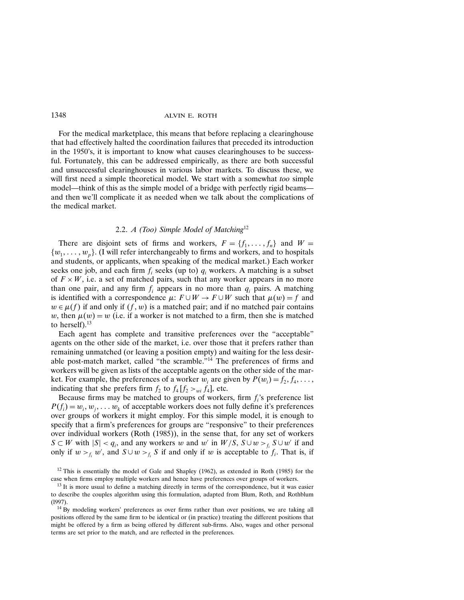### 1348 **ALVIN E. ROTH**

For the medical marketplace, this means that before replacing a clearinghouse that had effectively halted the coordination failures that preceded its introduction in the 1950's, it is important to know what causes clearinghouses to be successful. Fortunately, this can be addressed empirically, as there are both successful and unsuccessful clearinghouses in various labor markets. To discuss these, we will first need a simple theoretical model. We start with a somewhat too simple model—think of this as the simple model of a bridge with perfectly rigid beams and then we'll complicate it as needed when we talk about the complications of the medical market.

# 2.2. A (Too) Simple Model of Matching<sup>12</sup>

There are disjoint sets of firms and workers,  $F = \{f_1, \ldots, f_n\}$  and  $W =$  $\{w_1, \ldots, w_n\}$ . (I will refer interchangeably to firms and workers, and to hospitals and students, or applicants, when speaking of the medical market.) Each worker seeks one job, and each firm  $f_i$  seeks (up to)  $q_i$  workers. A matching is a subset of  $F \times W$ , i.e. a set of matched pairs, such that any worker appears in no more than one pair, and any firm  $f_i$  appears in no more than  $q_i$  pairs. A matching is identified with a correspondence  $\mu$ :  $F \cup W \rightarrow F \cup W$  such that  $\mu(w) = f$  and  $w \in \mu(f)$  if and only if  $(f, w)$  is a matched pair; and if no matched pair contains w, then  $\mu(w) = w$  (i.e. if a worker is not matched to a firm, then she is matched to herself).<sup>13</sup>

Each agent has complete and transitive preferences over the "acceptable" agents on the other side of the market, i.e. over those that it prefers rather than remaining unmatched (or leaving a position empty) and waiting for the less desirable post-match market, called "the scramble."14 The preferences of firms and workers will be given as lists of the acceptable agents on the other side of the market. For example, the preferences of a worker  $w_i$  are given by  $P(w_i) = f_2, f_4, \ldots$ , indicating that she prefers firm  $f_2$  to  $f_4[f_2 >_{wi} f_4]$ , etc.

Because firms may be matched to groups of workers, firm  $f_i$ 's preference list  $P(f_i) = w_i, w_j, \dots w_k$  of acceptable workers does not fully define it's preferences over groups of workers it might employ. For this simple model, it is enough to specify that a firm's preferences for groups are "responsive" to their preferences over individual workers (Roth (1985)), in the sense that, for any set of workers  $S \subset W$  with  $|S| < q_i$ , and any workers w and w' in  $W/S$ ,  $S \cup w >_{f_i} S \cup w'$  if and only if  $w >_{f_i} w'$ , and  $S \cup w >_{f_i} S$  if and only if w is acceptable to  $f_i$ . That is, if

 $12$  This is essentially the model of Gale and Shapley (1962), as extended in Roth (1985) for the case when firms employ multiple workers and hence have preferences over groups of workers.

 $14$  By modeling workers' preferences as over firms rather than over positions, we are taking all positions offered by the same firm to be identical or (in practice) treating the different positions that might be offered by a firm as being offered by different sub-firms. Also, wages and other personal terms are set prior to the match, and are reflected in the preferences.

 $<sup>13</sup>$  It is more usual to define a matching directly in terms of the correspondence, but it was easier</sup> to describe the couples algorithm using this formulation, adapted from Blum, Roth, and Rothblum (l997).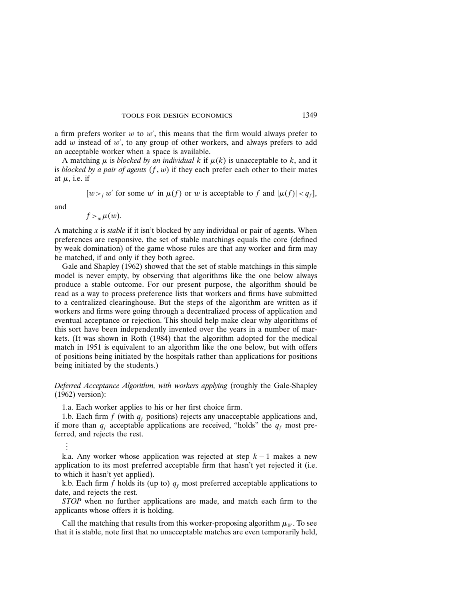a firm prefers worker  $w$  to  $w'$ , this means that the firm would always prefer to add  $w$  instead of  $w'$ , to any group of other workers, and always prefers to add an acceptable worker when a space is available.

A matching  $\mu$  is blocked by an individual k if  $\mu(k)$  is unacceptable to k, and it is blocked by a pair of agents  $(f, w)$  if they each prefer each other to their mates at  $\mu$ , i.e. if

 $[w >_f w'$  for some w' in  $\mu(f)$  or w is acceptable to f and  $|\mu(f)| < q_f$ ,

and

 $\vdots$  $\vdots$ 

$$
f>_{w}\mu(w).
$$

A matching  $x$  is *stable* if it isn't blocked by any individual or pair of agents. When preferences are responsive, the set of stable matchings equals the core (defined by weak domination) of the game whose rules are that any worker and firm may be matched, if and only if they both agree.

Gale and Shapley (1962) showed that the set of stable matchings in this simple model is never empty, by observing that algorithms like the one below always produce a stable outcome. For our present purpose, the algorithm should be read as a way to process preference lists that workers and firms have submitted to a centralized clearinghouse. But the steps of the algorithm are written as if workers and firms were going through a decentralized process of application and eventual acceptance or rejection. This should help make clear why algorithms of this sort have been independently invented over the years in a number of markets. (It was shown in Roth (1984) that the algorithm adopted for the medical match in 1951 is equivalent to an algorithm like the one below, but with offers of positions being initiated by the hospitals rather than applications for positions being initiated by the students.)

Deferred Acceptance Algorithm, with workers applying (roughly the Gale-Shapley (1962) version):

1.a. Each worker applies to his or her first choice firm.

1.b. Each firm f (with  $q_f$  positions) rejects any unacceptable applications and, if more than  $q_f$  acceptable applications are received, "holds" the  $q_f$  most preferred, and rejects the rest.

k.a. Any worker whose application was rejected at step  $k - 1$  makes a new application to its most preferred acceptable firm that hasn't yet rejected it (i.e. to which it hasn't yet applied).

k.b. Each firm f holds its (up to)  $q_f$  most preferred acceptable applications to date, and rejects the rest.

STOP when no further applications are made, and match each firm to the applicants whose offers it is holding.

Call the matching that results from this worker-proposing algorithm  $\mu_W$ . To see that it is stable, note first that no unacceptable matches are even temporarily held,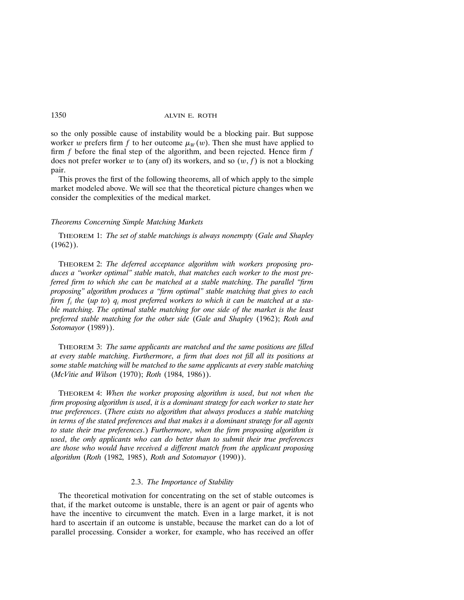## 1350 **ALVIN E. ROTH**

so the only possible cause of instability would be a blocking pair. But suppose worker w prefers firm f to her outcome  $\mu_W(w)$ . Then she must have applied to firm  $f$  before the final step of the algorithm, and been rejected. Hence firm  $f$ does not prefer worker w to (any of) its workers, and so  $(w, f)$  is not a blocking pair.

This proves the first of the following theorems, all of which apply to the simple market modeled above. We will see that the theoretical picture changes when we consider the complexities of the medical market.

## Theorems Concerning Simple Matching Markets

THEOREM 1: The set of stable matchings is always nonempty (Gale and Shapley  $(1962)$ .

THEOREM 2: The deferred acceptance algorithm with workers proposing produces a "worker optimal" stable match, that matches each worker to the most preferred firm to which she can be matched at a stable matching. The parallel "firm proposing" algorithm produces a "firm optimal" stable matching that gives to each firm  $f_i$  the (up to)  $g_i$  most preferred workers to which it can be matched at a stable matching. The optimal stable matching for one side of the market is the least preferred stable matching for the other side (Gale and Shapley (1962); Roth and Sotomayor (1989)).

Theorem 3: The same applicants are matched and the same positions are filled at every stable matching. Furthermore, a firm that does not fill all its positions at some stable matching will be matched to the same applicants at every stable matching (McVitie and Wilson (1970); Roth (1984, 1986)).

Theorem 4: When the worker proposing algorithm is used, but not when the firm proposing algorithm is used, it is a dominant strategy for each worker to state her true preferences. (There exists no algorithm that always produces a stable matching in terms of the stated preferences and that makes it a dominant strategy for all agents to state their true preferences.) Furthermore, when the firm proposing algorithm is used, the only applicants who can do better than to submit their true preferences are those who would have received a different match from the applicant proposing algorithm (Roth (1982, 1985), Roth and Sotomayor (1990)).

## 2.3. The Importance of Stability

The theoretical motivation for concentrating on the set of stable outcomes is that, if the market outcome is unstable, there is an agent or pair of agents who have the incentive to circumvent the match. Even in a large market, it is not hard to ascertain if an outcome is unstable, because the market can do a lot of parallel processing. Consider a worker, for example, who has received an offer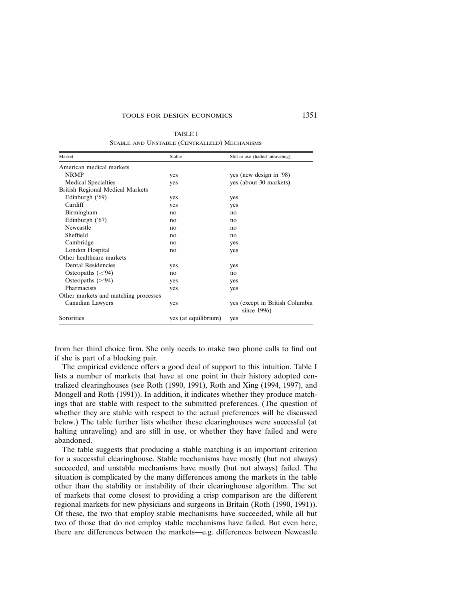| Market                                  | Stable               |                                                |
|-----------------------------------------|----------------------|------------------------------------------------|
|                                         |                      | Still in use (halted unraveling)               |
| American medical markets                |                      |                                                |
| <b>NRMP</b>                             | yes                  | yes (new design in '98)                        |
| <b>Medical Specialties</b>              | yes                  | yes (about 30 markets)                         |
| <b>British Regional Medical Markets</b> |                      |                                                |
| Edinburgh ('69)                         | yes                  | yes                                            |
| Cardiff                                 | yes                  | yes                                            |
| Birmingham                              | no                   | no                                             |
| Edinburgh ('67)                         | no                   | no                                             |
| Newcastle                               | no                   | no                                             |
| Sheffield                               | n <sub>0</sub>       | no                                             |
| Cambridge                               | no                   | yes                                            |
| London Hospital                         | n <sub>O</sub>       | yes                                            |
| Other healthcare markets                |                      |                                                |
| <b>Dental Residencies</b>               | yes                  | yes                                            |
| Osteopaths $(< 94)$                     | no                   | no                                             |
| Osteopaths ( $\geq$ '94)                | yes                  | yes                                            |
| Pharmacists                             | yes                  | yes                                            |
| Other markets and matching processes    |                      |                                                |
| Canadian Lawyers                        | yes                  | yes (except in British Columbia<br>since 1996) |
| Sororities                              | yes (at equilibrium) | yes                                            |

TABLE I Stable and Unstable (Centralized) Mechanisms

from her third choice firm. She only needs to make two phone calls to find out if she is part of a blocking pair.

The empirical evidence offers a good deal of support to this intuition. Table I lists a number of markets that have at one point in their history adopted centralized clearinghouses (see Roth (1990, 1991), Roth and Xing (1994, 1997), and Mongell and Roth (1991)). In addition, it indicates whether they produce matchings that are stable with respect to the submitted preferences. (The question of whether they are stable with respect to the actual preferences will be discussed below.) The table further lists whether these clearinghouses were successful (at halting unraveling) and are still in use, or whether they have failed and were abandoned.

The table suggests that producing a stable matching is an important criterion for a successful clearinghouse. Stable mechanisms have mostly (but not always) succeeded, and unstable mechanisms have mostly (but not always) failed. The situation is complicated by the many differences among the markets in the table other than the stability or instability of their clearinghouse algorithm. The set of markets that come closest to providing a crisp comparison are the different regional markets for new physicians and surgeons in Britain (Roth (1990, 1991)). Of these, the two that employ stable mechanisms have succeeded, while all but two of those that do not employ stable mechanisms have failed. But even here, there are differences between the markets—e.g. differences between Newcastle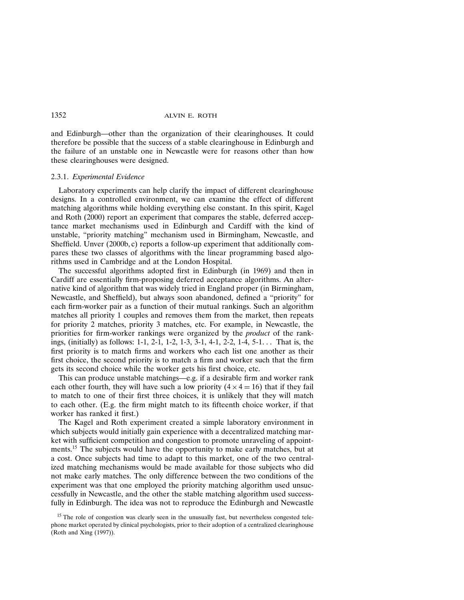and Edinburgh—other than the organization of their clearinghouses. It could therefore be possible that the success of a stable clearinghouse in Edinburgh and the failure of an unstable one in Newcastle were for reasons other than how these clearinghouses were designed.

## 2.3.1. Experimental Evidence

Laboratory experiments can help clarify the impact of different clearinghouse designs. In a controlled environment, we can examine the effect of different matching algorithms while holding everything else constant. In this spirit, Kagel and Roth (2000) report an experiment that compares the stable, deferred acceptance market mechanisms used in Edinburgh and Cardiff with the kind of unstable, "priority matching" mechanism used in Birmingham, Newcastle, and Sheffield. Unver (2000b, c) reports a follow-up experiment that additionally compares these two classes of algorithms with the linear programming based algorithms used in Cambridge and at the London Hospital.

The successful algorithms adopted first in Edinburgh (in 1969) and then in Cardiff are essentially firm-proposing deferred acceptance algorithms. An alternative kind of algorithm that was widely tried in England proper (in Birmingham, Newcastle, and Sheffield), but always soon abandoned, defined a "priority" for each firm-worker pair as a function of their mutual rankings. Such an algorithm matches all priority 1 couples and removes them from the market, then repeats for priority 2 matches, priority 3 matches, etc. For example, in Newcastle, the priorities for firm-worker rankings were organized by the product of the rankings, (initially) as follows: 1-1, 2-1, 1-2, 1-3, 3-1, 4-1, 2-2, 1-4, 5-1... That is, the first priority is to match firms and workers who each list one another as their first choice, the second priority is to match a firm and worker such that the firm gets its second choice while the worker gets his first choice, etc.

This can produce unstable matchings—e.g. if a desirable firm and worker rank each other fourth, they will have such a low priority  $(4 \times 4 = 16)$  that if they fail to match to one of their first three choices, it is unlikely that they will match to each other. (E.g. the firm might match to its fifteenth choice worker, if that worker has ranked it first.)

The Kagel and Roth experiment created a simple laboratory environment in which subjects would initially gain experience with a decentralized matching market with sufficient competition and congestion to promote unraveling of appointments.15 The subjects would have the opportunity to make early matches, but at a cost. Once subjects had time to adapt to this market, one of the two centralized matching mechanisms would be made available for those subjects who did not make early matches. The only difference between the two conditions of the experiment was that one employed the priority matching algorithm used unsuccessfully in Newcastle, and the other the stable matching algorithm used successfully in Edinburgh. The idea was not to reproduce the Edinburgh and Newcastle

 $15$  The role of congestion was clearly seen in the unusually fast, but nevertheless congested telephone market operated by clinical psychologists, prior to their adoption of a centralized clearinghouse (Roth and Xing (1997)).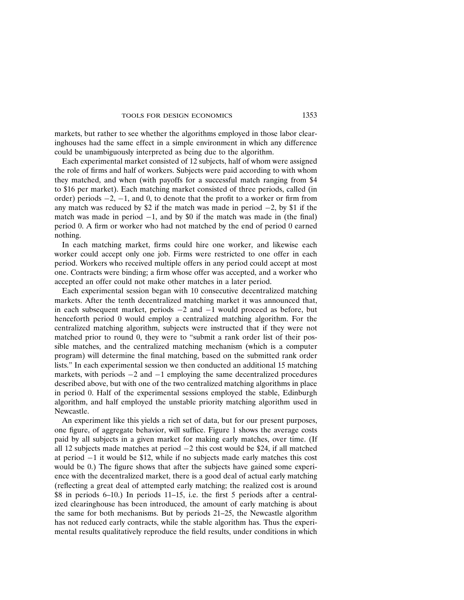markets, but rather to see whether the algorithms employed in those labor clearinghouses had the same effect in a simple environment in which any difference could be unambiguously interpreted as being due to the algorithm.

Each experimental market consisted of 12 subjects, half of whom were assigned the role of firms and half of workers. Subjects were paid according to with whom they matched, and when (with payoffs for a successful match ranging from \$4 to \$16 per market). Each matching market consisted of three periods, called (in order) periods  $-2$ ,  $-1$ , and 0, to denote that the profit to a worker or firm from any match was reduced by \$2 if the match was made in period −2, by \$1 if the match was made in period −1, and by \$0 if the match was made in (the final) period 0. A firm or worker who had not matched by the end of period 0 earned nothing.

In each matching market, firms could hire one worker, and likewise each worker could accept only one job. Firms were restricted to one offer in each period. Workers who received multiple offers in any period could accept at most one. Contracts were binding; a firm whose offer was accepted, and a worker who accepted an offer could not make other matches in a later period.

Each experimental session began with 10 consecutive decentralized matching markets. After the tenth decentralized matching market it was announced that, in each subsequent market, periods −2 and −1 would proceed as before, but henceforth period 0 would employ a centralized matching algorithm. For the centralized matching algorithm, subjects were instructed that if they were not matched prior to round 0, they were to "submit a rank order list of their possible matches, and the centralized matching mechanism (which is a computer program) will determine the final matching, based on the submitted rank order lists." In each experimental session we then conducted an additional 15 matching markets, with periods −2 and −1 employing the same decentralized procedures described above, but with one of the two centralized matching algorithms in place in period 0. Half of the experimental sessions employed the stable, Edinburgh algorithm, and half employed the unstable priority matching algorithm used in Newcastle.

An experiment like this yields a rich set of data, but for our present purposes, one figure, of aggregate behavior, will suffice. Figure 1 shows the average costs paid by all subjects in a given market for making early matches, over time. (If all 12 subjects made matches at period −2 this cost would be \$24, if all matched at period −1 it would be \$12, while if no subjects made early matches this cost would be 0.) The figure shows that after the subjects have gained some experience with the decentralized market, there is a good deal of actual early matching (reflecting a great deal of attempted early matching; the realized cost is around \$8 in periods 6–10.) In periods 11–15, i.e. the first 5 periods after a centralized clearinghouse has been introduced, the amount of early matching is about the same for both mechanisms. But by periods 21–25, the Newcastle algorithm has not reduced early contracts, while the stable algorithm has. Thus the experimental results qualitatively reproduce the field results, under conditions in which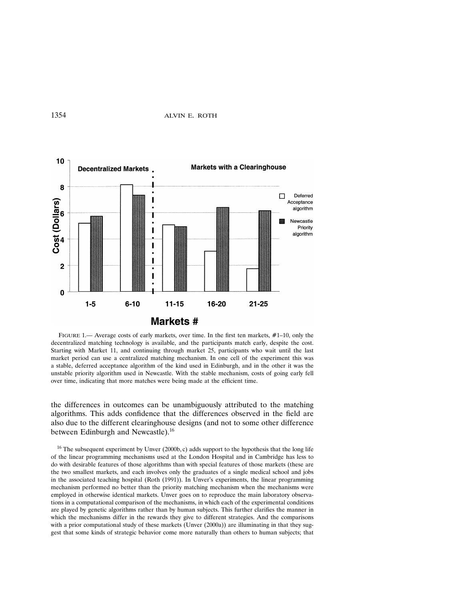

FIGURE 1.— Average costs of early markets, over time. In the first ten markets,  $\#1-10$ , only the decentralized matching technology is available, and the participants match early, despite the cost. Starting with Market 11, and continuing through market 25, participants who wait until the last market period can use a centralized matching mechanism. In one cell of the experiment this was a stable, deferred acceptance algorithm of the kind used in Edinburgh, and in the other it was the unstable priority algorithm used in Newcastle. With the stable mechanism, costs of going early fell over time, indicating that more matches were being made at the efficient time.

the differences in outcomes can be unambiguously attributed to the matching algorithms. This adds confidence that the differences observed in the field are also due to the different clearinghouse designs (and not to some other difference between Edinburgh and Newcastle).<sup>16</sup>

 $16$  The subsequent experiment by Unver (2000b, c) adds support to the hypothesis that the long life of the linear programming mechanisms used at the London Hospital and in Cambridge has less to do with desirable features of those algorithms than with special features of those markets (these are the two smallest markets, and each involves only the graduates of a single medical school and jobs in the associated teaching hospital (Roth (1991)). In Unver's experiments, the linear programming mechanism performed no better than the priority matching mechanism when the mechanisms were employed in otherwise identical markets. Unver goes on to reproduce the main laboratory observations in a computational comparison of the mechanisms, in which each of the experimental conditions are played by genetic algorithms rather than by human subjects. This further clarifies the manner in which the mechanisms differ in the rewards they give to different strategies. And the comparisons with a prior computational study of these markets (Unver (2000a)) are illuminating in that they suggest that some kinds of strategic behavior come more naturally than others to human subjects; that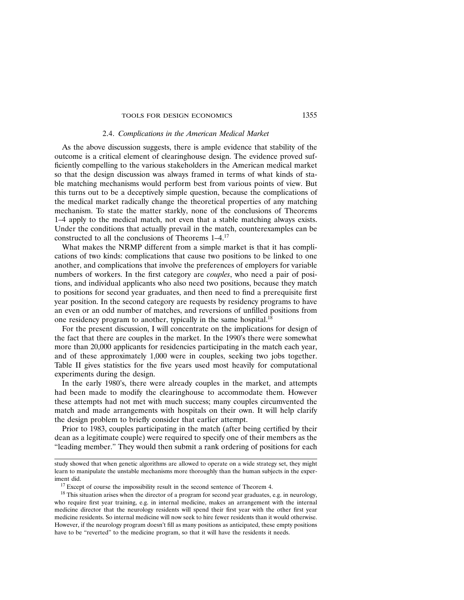### tools for design economics 1355

## 2.4. Complications in the American Medical Market

As the above discussion suggests, there is ample evidence that stability of the outcome is a critical element of clearinghouse design. The evidence proved sufficiently compelling to the various stakeholders in the American medical market so that the design discussion was always framed in terms of what kinds of stable matching mechanisms would perform best from various points of view. But this turns out to be a deceptively simple question, because the complications of the medical market radically change the theoretical properties of any matching mechanism. To state the matter starkly, none of the conclusions of Theorems 1–4 apply to the medical match, not even that a stable matching always exists. Under the conditions that actually prevail in the match, counterexamples can be constructed to all the conclusions of Theorems 1–4.17

What makes the NRMP different from a simple market is that it has complications of two kinds: complications that cause two positions to be linked to one another, and complications that involve the preferences of employers for variable numbers of workers. In the first category are couples, who need a pair of positions, and individual applicants who also need two positions, because they match to positions for second year graduates, and then need to find a prerequisite first year position. In the second category are requests by residency programs to have an even or an odd number of matches, and reversions of unfilled positions from one residency program to another, typically in the same hospital.18

For the present discussion, I will concentrate on the implications for design of the fact that there are couples in the market. In the 1990's there were somewhat more than 20,000 applicants for residencies participating in the match each year, and of these approximately 1,000 were in couples, seeking two jobs together. Table II gives statistics for the five years used most heavily for computational experiments during the design.

In the early 1980's, there were already couples in the market, and attempts had been made to modify the clearinghouse to accommodate them. However these attempts had not met with much success; many couples circumvented the match and made arrangements with hospitals on their own. It will help clarify the design problem to briefly consider that earlier attempt.

Prior to 1983, couples participating in the match (after being certified by their dean as a legitimate couple) were required to specify one of their members as the "leading member." They would then submit a rank ordering of positions for each

study showed that when genetic algorithms are allowed to operate on a wide strategy set, they might learn to manipulate the unstable mechanisms more thoroughly than the human subjects in the experiment did.

<sup>&</sup>lt;sup>17</sup> Except of course the impossibility result in the second sentence of Theorem 4.

 $18$  This situation arises when the director of a program for second year graduates, e.g. in neurology, who require first year training, e.g. in internal medicine, makes an arrangement with the internal medicine director that the neurology residents will spend their first year with the other first year medicine residents. So internal medicine will now seek to hire fewer residents than it would otherwise. However, if the neurology program doesn't fill as many positions as anticipated, these empty positions have to be "reverted" to the medicine program, so that it will have the residents it needs.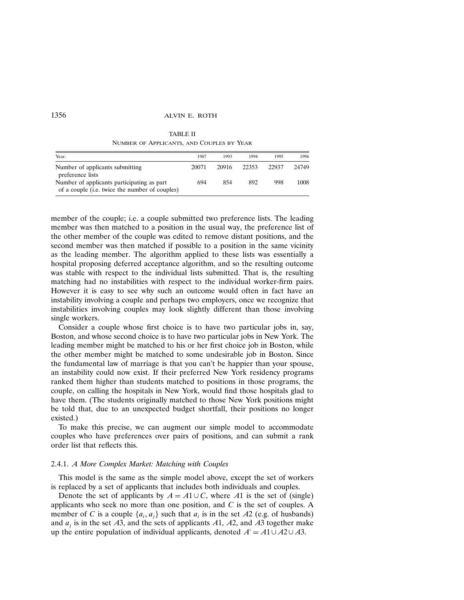| Year:                                                          | 1987  | 1993  | 1994  | 1995  | 1996  |
|----------------------------------------------------------------|-------|-------|-------|-------|-------|
| Number of applicants submitting                                | 20071 | 20916 | 22353 | 22937 | 24749 |
| preference lists<br>Number of applicants participating as part | 694   | 854   | 892   | 998   | 1008  |
| of a couple (i.e. twice the number of couples)                 |       |       |       |       |       |

TABLE II Number of Applicants, and Couples by Year

member of the couple; i.e. a couple submitted two preference lists. The leading member was then matched to a position in the usual way, the preference list of the other member of the couple was edited to remove distant positions, and the second member was then matched if possible to a position in the same vicinity as the leading member. The algorithm applied to these lists was essentially a hospital proposing deferred acceptance algorithm, and so the resulting outcome was stable with respect to the individual lists submitted. That is, the resulting matching had no instabilities with respect to the individual worker-firm pairs. However it is easy to see why such an outcome would often in fact have an instability involving a couple and perhaps two employers, once we recognize that instabilities involving couples may look slightly different than those involving single workers.

Consider a couple whose first choice is to have two particular jobs in, say, Boston, and whose second choice is to have two particular jobs in New York. The leading member might be matched to his or her first choice job in Boston, while the other member might be matched to some undesirable job in Boston. Since the fundamental law of marriage is that you can't be happier than your spouse, an instability could now exist. If their preferred New York residency programs ranked them higher than students matched to positions in those programs, the couple, on calling the hospitals in New York, would find those hospitals glad to have them. (The students originally matched to those New York positions might be told that, due to an unexpected budget shortfall, their positions no longer existed.)

To make this precise, we can augment our simple model to accommodate couples who have preferences over pairs of positions, and can submit a rank order list that reflects this.

### 2.4.1. A More Complex Market: Matching with Couples

This model is the same as the simple model above, except the set of workers is replaced by a set of applicants that includes both individuals and couples.

Denote the set of applicants by  $A = A1 \cup C$ , where A1 is the set of (single) applicants who seek no more than one position, and C is the set of couples. A member of C is a couple  $\{a_i, a_j\}$  such that  $a_i$  is in the set A2 (e.g. of husbands) and  $a_i$  is in the set A3, and the sets of applicants A1, A2, and A3 together make up the entire population of individual applicants, denoted  $A' = A1 \cup A2 \cup A3$ .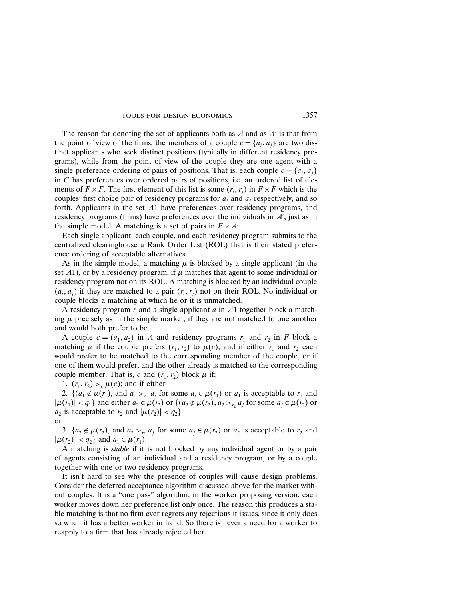The reason for denoting the set of applicants both as  $A$  and as  $A'$  is that from the point of view of the firms, the members of a couple  $c = \{a_i, a_i\}$  are two distinct applicants who seek distinct positions (typically in different residency programs), while from the point of view of the couple they are one agent with a single preference ordering of pairs of positions. That is, each couple  $c = \{a_i, a_j\}$ in C has preferences over ordered pairs of positions, i.e. an ordered list of elements of  $F \times F$ . The first element of this list is some  $(r_i, r_j)$  in  $F \times F$  which is the couples' first choice pair of residency programs for  $a_i$  and  $a_j$  respectively, and so forth. Applicants in the set A1 have preferences over residency programs, and residency programs (firms) have preferences over the individuals in  $A'$ , just as in the simple model. A matching is a set of pairs in  $F \times A'$ .

Each single applicant, each couple, and each residency program submits to the centralized clearinghouse a Rank Order List (ROL) that is their stated preference ordering of acceptable alternatives.

As in the simple model, a matching  $\mu$  is blocked by a single applicant (in the set  $A1$ ), or by a residency program, if  $\mu$  matches that agent to some individual or residency program not on its ROL. A matching is blocked by an individual couple  $(a_i, a_j)$  if they are matched to a pair  $(r_i, r_j)$  not on their ROL. No individual or couple blocks a matching at which he or it is unmatched.

A residency program  $r$  and a single applicant  $a$  in  $A1$  together block a matching  $\mu$  precisely as in the simple market, if they are not matched to one another and would both prefer to be.

A couple  $c = (a_1, a_2)$  in A and residency programs  $r_1$  and  $r_2$  in F block a matching  $\mu$  if the couple prefers  $(r_1, r_2)$  to  $\mu(c)$ , and if either  $r_1$  and  $r_2$  each would prefer to be matched to the corresponding member of the couple, or if one of them would prefer, and the other already is matched to the corresponding couple member. That is, c and  $(r_1, r_2)$  block  $\mu$  if:

1.  $(r_1, r_2) >_c \mu(c)$ ; and if either

2.  $\{(a_1 \notin \mu(r_1)),$  and  $a_1 >_{r_1} a_i$  for some  $a_i \in \mu(r_1)$  or  $a_1$  is acceptable to  $r_1$  and  $|\mu(r_1)| < q_1$  and either  $a_2 \in \mu(r_2)$  or  $\{(a_2 \notin \mu(r_2), a_2 > r_1, a_1 \text{ for some } a_i \in \mu(r_2) \text{ or } a_i \text{ for some } a_i \in \mu(r_1)\}$  $a_2$  is acceptable to  $r_2$  and  $|\mu(r_2)| < q_2$ or

3.  $\{a_2 \notin \mu(r_2)$ , and  $a_2 > r_2$ ,  $a_j$  for some  $a_j \in \mu(r_2)$  or  $a_2$  is acceptable to  $r_2$  and  $|\mu(r_2)| < q_2$  and  $a_1 \in \mu(r_1)$ .

A matching is stable if it is not blocked by any individual agent or by a pair of agents consisting of an individual and a residency program, or by a couple together with one or two residency programs.

It isn't hard to see why the presence of couples will cause design problems. Consider the deferred acceptance algorithm discussed above for the market without couples. It is a "one pass" algorithm: in the worker proposing version, each worker moves down her preference list only once. The reason this produces a stable matching is that no firm ever regrets any rejections it issues, since it only does so when it has a better worker in hand. So there is never a need for a worker to reapply to a firm that has already rejected her.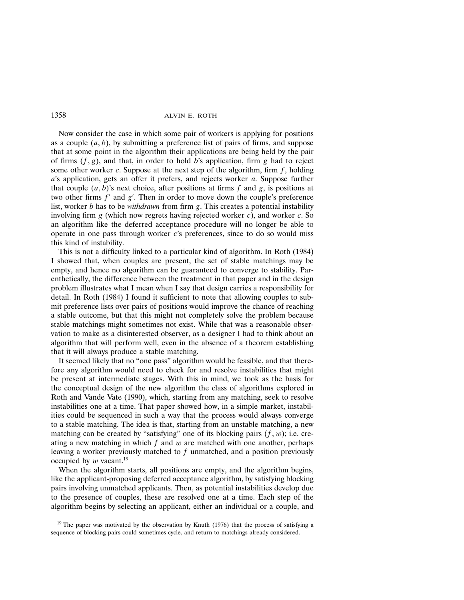Now consider the case in which some pair of workers is applying for positions as a couple  $(a, b)$ , by submitting a preference list of pairs of firms, and suppose that at some point in the algorithm their applications are being held by the pair of firms  $(f, g)$ , and that, in order to hold b's application, firm g had to reject some other worker c. Suppose at the next step of the algorithm, firm  $f$ , holding a's application, gets an offer it prefers, and rejects worker a. Suppose further that couple  $(a, b)$ 's next choice, after positions at firms f and g, is positions at two other firms  $f'$  and  $g'$ . Then in order to move down the couple's preference list, worker  $b$  has to be *withdrawn* from firm  $g$ . This creates a potential instability involving firm  $g$  (which now regrets having rejected worker  $c$ ), and worker  $c$ . So an algorithm like the deferred acceptance procedure will no longer be able to operate in one pass through worker  $c$ 's preferences, since to do so would miss this kind of instability.

This is not a difficulty linked to a particular kind of algorithm. In Roth (1984) I showed that, when couples are present, the set of stable matchings may be empty, and hence no algorithm can be guaranteed to converge to stability. Parenthetically, the difference between the treatment in that paper and in the design problem illustrates what I mean when I say that design carries a responsibility for detail. In Roth (1984) I found it sufficient to note that allowing couples to submit preference lists over pairs of positions would improve the chance of reaching a stable outcome, but that this might not completely solve the problem because stable matchings might sometimes not exist. While that was a reasonable observation to make as a disinterested observer, as a designer I had to think about an algorithm that will perform well, even in the absence of a theorem establishing that it will always produce a stable matching.

It seemed likely that no "one pass" algorithm would be feasible, and that therefore any algorithm would need to check for and resolve instabilities that might be present at intermediate stages. With this in mind, we took as the basis for the conceptual design of the new algorithm the class of algorithms explored in Roth and Vande Vate (1990), which, starting from any matching, seek to resolve instabilities one at a time. That paper showed how, in a simple market, instabilities could be sequenced in such a way that the process would always converge to a stable matching. The idea is that, starting from an unstable matching, a new matching can be created by "satisfying" one of its blocking pairs  $(f, w)$ ; i.e. creating a new matching in which  $f$  and  $w$  are matched with one another, perhaps leaving a worker previously matched to f unmatched, and a position previously occupied by  $w$  vacant.<sup>19</sup>

When the algorithm starts, all positions are empty, and the algorithm begins, like the applicant-proposing deferred acceptance algorithm, by satisfying blocking pairs involving unmatched applicants. Then, as potential instabilities develop due to the presence of couples, these are resolved one at a time. Each step of the algorithm begins by selecting an applicant, either an individual or a couple, and

 $19$  The paper was motivated by the observation by Knuth (1976) that the process of satisfying a sequence of blocking pairs could sometimes cycle, and return to matchings already considered.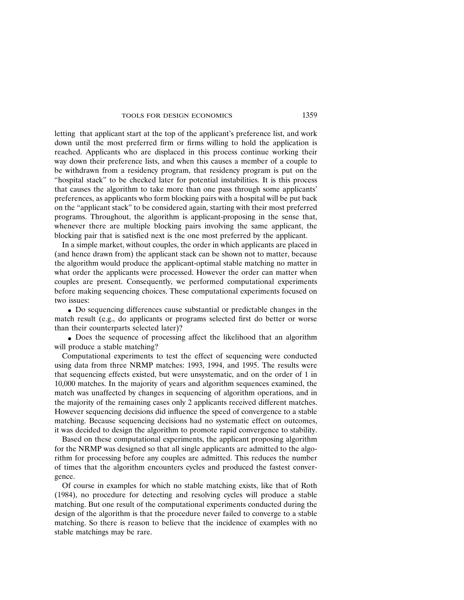letting that applicant start at the top of the applicant's preference list, and work down until the most preferred firm or firms willing to hold the application is reached. Applicants who are displaced in this process continue working their way down their preference lists, and when this causes a member of a couple to be withdrawn from a residency program, that residency program is put on the "hospital stack" to be checked later for potential instabilities. It is this process that causes the algorithm to take more than one pass through some applicants' preferences, as applicants who form blocking pairs with a hospital will be put back on the "applicant stack" to be considered again, starting with their most preferred programs. Throughout, the algorithm is applicant-proposing in the sense that, whenever there are multiple blocking pairs involving the same applicant, the blocking pair that is satisfied next is the one most preferred by the applicant.

In a simple market, without couples, the order in which applicants are placed in (and hence drawn from) the applicant stack can be shown not to matter, because the algorithm would produce the applicant-optimal stable matching no matter in what order the applicants were processed. However the order can matter when couples are present. Consequently, we performed computational experiments before making sequencing choices. These computational experiments focused on two issues:

• Do sequencing differences cause substantial or predictable changes in the match result (e.g., do applicants or programs selected first do better or worse than their counterparts selected later)?

• Does the sequence of processing affect the likelihood that an algorithm will produce a stable matching?

Computational experiments to test the effect of sequencing were conducted using data from three NRMP matches: 1993, 1994, and 1995. The results were that sequencing effects existed, but were unsystematic, and on the order of 1 in 10,000 matches. In the majority of years and algorithm sequences examined, the match was unaffected by changes in sequencing of algorithm operations, and in the majority of the remaining cases only 2 applicants received different matches. However sequencing decisions did influence the speed of convergence to a stable matching. Because sequencing decisions had no systematic effect on outcomes, it was decided to design the algorithm to promote rapid convergence to stability.

Based on these computational experiments, the applicant proposing algorithm for the NRMP was designed so that all single applicants are admitted to the algorithm for processing before any couples are admitted. This reduces the number of times that the algorithm encounters cycles and produced the fastest convergence.

Of course in examples for which no stable matching exists, like that of Roth (1984), no procedure for detecting and resolving cycles will produce a stable matching. But one result of the computational experiments conducted during the design of the algorithm is that the procedure never failed to converge to a stable matching. So there is reason to believe that the incidence of examples with no stable matchings may be rare.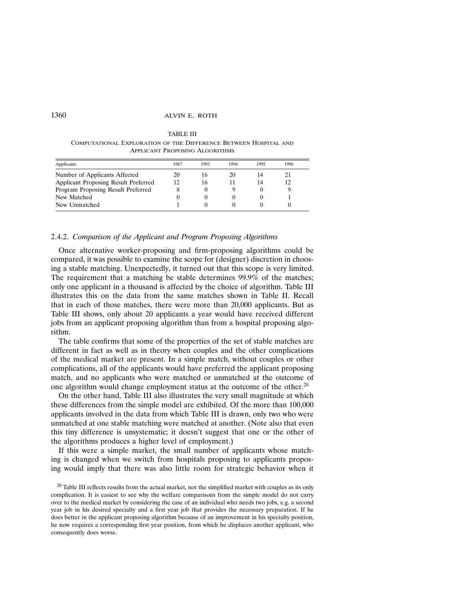## 1360 **ALVIN E. ROTH**

| TABLE III                                                        |
|------------------------------------------------------------------|
| COMPUTATIONAL EXPLORATION OF THE DIFFERENCE BETWEEN HOSPITAL AND |
| APPLICANT PROPOSING ALGORITHMS                                   |

| Applicants                           | 1987 | 1993 | 1994 | 1995 | 1996 |
|--------------------------------------|------|------|------|------|------|
| Number of Applicants Affected        | 20   | 16   | 20   | 14   |      |
| Applicant Proposing Result Preferred | 12   | 16   |      | 14   |      |
| Program Proposing Result Preferred   | 8    | 0    |      |      |      |
| New Matched                          |      | 0    |      |      |      |
| New Unmatched                        |      |      |      |      |      |

# 2.4.2. Comparison of the Applicant and Program Proposing Algorithms

Once alternative worker-proposing and firm-proposing algorithms could be compared, it was possible to examine the scope for (designer) discretion in choosing a stable matching. Unexpectedly, it turned out that this scope is very limited. The requirement that a matching be stable determines 99.9% of the matches; only one applicant in a thousand is affected by the choice of algorithm. Table III illustrates this on the data from the same matches shown in Table II. Recall that in each of those matches, there were more than 20,000 applicants. But as Table III shows, only about 20 applicants a year would have received different jobs from an applicant proposing algorithm than from a hospital proposing algorithm.

The table confirms that some of the properties of the set of stable matches are different in fact as well as in theory when couples and the other complications of the medical market are present. In a simple match, without couples or other complications, all of the applicants would have preferred the applicant proposing match, and no applicants who were matched or unmatched at the outcome of one algorithm would change employment status at the outcome of the other.20

On the other hand, Table III also illustrates the very small magnitude at which these differences from the simple model are exhibited. Of the more than 100,000 applicants involved in the data from which Table III is drawn, only two who were unmatched at one stable matching were matched at another. (Note also that even this tiny difference is unsystematic; it doesn't suggest that one or the other of the algorithms produces a higher level of employment.)

If this were a simple market, the small number of applicants whose matching is changed when we switch from hospitals proposing to applicants proposing would imply that there was also little room for strategic behavior when it

 $20$  Table III reflects results from the actual market, not the simplified market with couples as its only complication. It is easiest to see why the welfare comparisons from the simple model do not carry over to the medical market by considering the case of an individual who needs two jobs, e.g. a second year job in his desired specialty and a first year job that provides the necessary preparation. If he does better in the applicant proposing algorithm because of an improvement in his specialty position, he now requires a corresponding first year position, from which he displaces another applicant, who consequently does worse.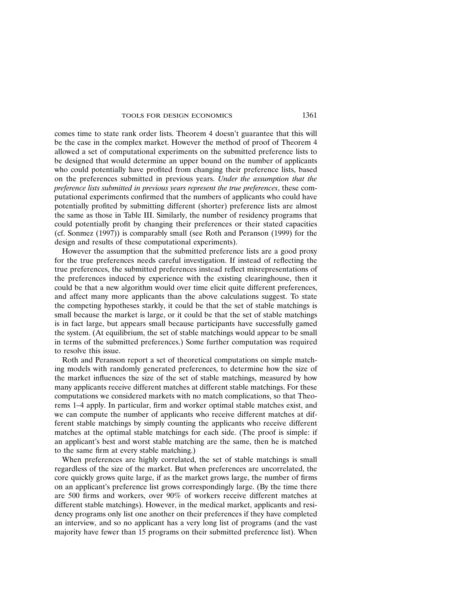comes time to state rank order lists. Theorem 4 doesn't guarantee that this will be the case in the complex market. However the method of proof of Theorem 4 allowed a set of computational experiments on the submitted preference lists to be designed that would determine an upper bound on the number of applicants who could potentially have profited from changing their preference lists, based on the preferences submitted in previous years. Under the assumption that the preference lists submitted in previous years represent the true preferences, these computational experiments confirmed that the numbers of applicants who could have potentially profited by submitting different (shorter) preference lists are almost the same as those in Table III. Similarly, the number of residency programs that could potentially profit by changing their preferences or their stated capacities (cf. Sonmez (1997)) is comparably small (see Roth and Peranson (1999) for the design and results of these computational experiments).

However the assumption that the submitted preference lists are a good proxy for the true preferences needs careful investigation. If instead of reflecting the true preferences, the submitted preferences instead reflect misrepresentations of the preferences induced by experience with the existing clearinghouse, then it could be that a new algorithm would over time elicit quite different preferences, and affect many more applicants than the above calculations suggest. To state the competing hypotheses starkly, it could be that the set of stable matchings is small because the market is large, or it could be that the set of stable matchings is in fact large, but appears small because participants have successfully gamed the system. (At equilibrium, the set of stable matchings would appear to be small in terms of the submitted preferences.) Some further computation was required to resolve this issue.

Roth and Peranson report a set of theoretical computations on simple matching models with randomly generated preferences, to determine how the size of the market influences the size of the set of stable matchings, measured by how many applicants receive different matches at different stable matchings. For these computations we considered markets with no match complications, so that Theorems 1–4 apply. In particular, firm and worker optimal stable matches exist, and we can compute the number of applicants who receive different matches at different stable matchings by simply counting the applicants who receive different matches at the optimal stable matchings for each side. (The proof is simple: if an applicant's best and worst stable matching are the same, then he is matched to the same firm at every stable matching.)

When preferences are highly correlated, the set of stable matchings is small regardless of the size of the market. But when preferences are uncorrelated, the core quickly grows quite large, if as the market grows large, the number of firms on an applicant's preference list grows correspondingly large. (By the time there are 500 firms and workers, over 90% of workers receive different matches at different stable matchings). However, in the medical market, applicants and residency programs only list one another on their preferences if they have completed an interview, and so no applicant has a very long list of programs (and the vast majority have fewer than 15 programs on their submitted preference list). When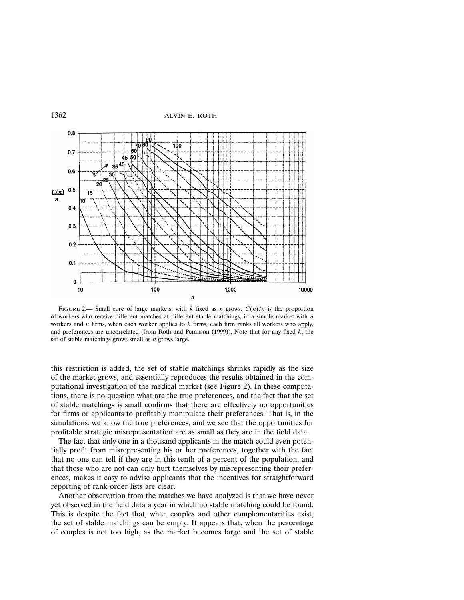

FIGURE 2.— Small core of large markets, with k fixed as n grows.  $C(n)/n$  is the proportion of workers who receive different matches at different stable matchings, in a simple market with  $n$ workers and  $n$  firms, when each worker applies to  $k$  firms, each firm ranks all workers who apply, and preferences are uncorrelated (from Roth and Peranson (1999)). Note that for any fixed  $k$ , the set of stable matchings grows small as  $n$  grows large.

this restriction is added, the set of stable matchings shrinks rapidly as the size of the market grows, and essentially reproduces the results obtained in the computational investigation of the medical market (see Figure 2). In these computations, there is no question what are the true preferences, and the fact that the set of stable matchings is small confirms that there are effectively no opportunities for firms or applicants to profitably manipulate their preferences. That is, in the simulations, we know the true preferences, and we see that the opportunities for profitable strategic misrepresentation are as small as they are in the field data.

The fact that only one in a thousand applicants in the match could even potentially profit from misrepresenting his or her preferences, together with the fact that no one can tell if they are in this tenth of a percent of the population, and that those who are not can only hurt themselves by misrepresenting their preferences, makes it easy to advise applicants that the incentives for straightforward reporting of rank order lists are clear.

Another observation from the matches we have analyzed is that we have never yet observed in the field data a year in which no stable matching could be found. This is despite the fact that, when couples and other complementarities exist, the set of stable matchings can be empty. It appears that, when the percentage of couples is not too high, as the market becomes large and the set of stable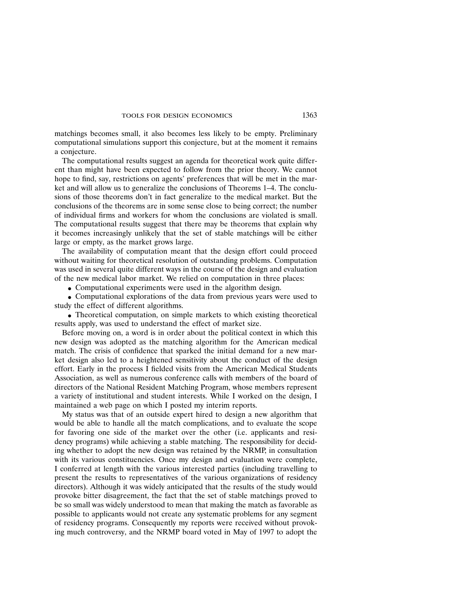matchings becomes small, it also becomes less likely to be empty. Preliminary computational simulations support this conjecture, but at the moment it remains a conjecture.

The computational results suggest an agenda for theoretical work quite different than might have been expected to follow from the prior theory. We cannot hope to find, say, restrictions on agents' preferences that will be met in the market and will allow us to generalize the conclusions of Theorems 1–4. The conclusions of those theorems don't in fact generalize to the medical market. But the conclusions of the theorems are in some sense close to being correct; the number of individual firms and workers for whom the conclusions are violated is small. The computational results suggest that there may be theorems that explain why it becomes increasingly unlikely that the set of stable matchings will be either large or empty, as the market grows large.

The availability of computation meant that the design effort could proceed without waiting for theoretical resolution of outstanding problems. Computation was used in several quite different ways in the course of the design and evaluation of the new medical labor market. We relied on computation in three places:

• Computational experiments were used in the algorithm design.

• Computational explorations of the data from previous years were used to study the effect of different algorithms.

• Theoretical computation, on simple markets to which existing theoretical results apply, was used to understand the effect of market size.

Before moving on, a word is in order about the political context in which this new design was adopted as the matching algorithm for the American medical match. The crisis of confidence that sparked the initial demand for a new market design also led to a heightened sensitivity about the conduct of the design effort. Early in the process I fielded visits from the American Medical Students Association, as well as numerous conference calls with members of the board of directors of the National Resident Matching Program, whose members represent a variety of institutional and student interests. While I worked on the design, I maintained a web page on which I posted my interim reports.

My status was that of an outside expert hired to design a new algorithm that would be able to handle all the match complications, and to evaluate the scope for favoring one side of the market over the other (i.e. applicants and residency programs) while achieving a stable matching. The responsibility for deciding whether to adopt the new design was retained by the NRMP, in consultation with its various constituencies. Once my design and evaluation were complete, I conferred at length with the various interested parties (including travelling to present the results to representatives of the various organizations of residency directors). Although it was widely anticipated that the results of the study would provoke bitter disagreement, the fact that the set of stable matchings proved to be so small was widely understood to mean that making the match as favorable as possible to applicants would not create any systematic problems for any segment of residency programs. Consequently my reports were received without provoking much controversy, and the NRMP board voted in May of 1997 to adopt the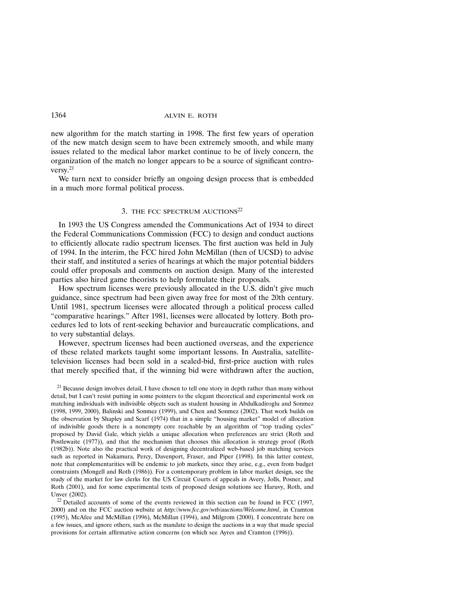new algorithm for the match starting in 1998. The first few years of operation of the new match design seem to have been extremely smooth, and while many issues related to the medical labor market continue to be of lively concern, the organization of the match no longer appears to be a source of significant contro $versy.<sup>21</sup>$ 

We turn next to consider briefly an ongoing design process that is embedded in a much more formal political process.

# 3. THE FCC SPECTRUM AUCTIONS<sup>22</sup>

In 1993 the US Congress amended the Communications Act of 1934 to direct the Federal Communications Commission (FCC) to design and conduct auctions to efficiently allocate radio spectrum licenses. The first auction was held in July of 1994. In the interim, the FCC hired John McMillan (then of UCSD) to advise their staff, and instituted a series of hearings at which the major potential bidders could offer proposals and comments on auction design. Many of the interested parties also hired game theorists to help formulate their proposals.

How spectrum licenses were previously allocated in the U.S. didn't give much guidance, since spectrum had been given away free for most of the 20th century. Until 1981, spectrum licenses were allocated through a political process called "comparative hearings." After 1981, licenses were allocated by lottery. Both procedures led to lots of rent-seeking behavior and bureaucratic complications, and to very substantial delays.

However, spectrum licenses had been auctioned overseas, and the experience of these related markets taught some important lessons. In Australia, satellitetelevision licenses had been sold in a sealed-bid, first-price auction with rules that merely specified that, if the winning bid were withdrawn after the auction,

 $21$  Because design involves detail, I have chosen to tell one story in depth rather than many without detail, but I can't resist putting in some pointers to the elegant theoretical and experimental work on matching individuals with indivisible objects such as student housing in Abdulkadiroglu and Sonmez (1998, 1999, 2000), Balinski and Sonmez (1999), and Chen and Sonmez (2002). That work builds on the observation by Shapley and Scarf (1974) that in a simple "housing market" model of allocation of indivisible goods there is a nonempty core reachable by an algorithm of "top trading cycles" proposed by David Gale, which yields a unique allocation when preferences are strict (Roth and Postlewaite (1977)), and that the mechanism that chooses this allocation is strategy proof (Roth (1982b)). Note also the practical work of designing decentralized web-based job matching services such as reported in Nakamura, Percy, Davenport, Fraser, and Piper (1998). In this latter context, note that complementarities will be endemic to job markets, since they arise, e.g., even from budget constraints (Mongell and Roth (1986)). For a contemporary problem in labor market design, see the study of the market for law clerks for the US Circuit Courts of appeals in Avery, Jolls, Posner, and Roth (2001), and for some experimental tests of proposed design solutions see Haruvy, Roth, and Unver (2002).

 $22$  Detailed accounts of some of the events reviewed in this section can be found in FCC (1997, 2000) and on the FCC auction website at http://www.fcc.gov/wtb/auctions/Welcome.html, in Cramton (1995), McAfee and McMillan (1996), McMillan (1994), and Milgrom (2000). I concentrate here on a few issues, and ignore others, such as the mandate to design the auctions in a way that made special provisions for certain affirmative action concerns (on which see Ayres and Cramton (1996)).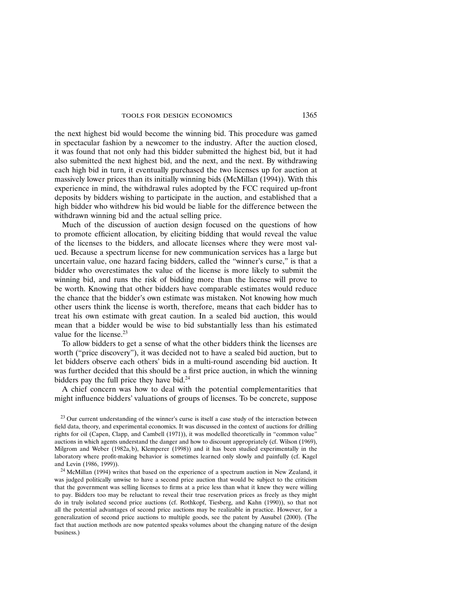the next highest bid would become the winning bid. This procedure was gamed in spectacular fashion by a newcomer to the industry. After the auction closed, it was found that not only had this bidder submitted the highest bid, but it had also submitted the next highest bid, and the next, and the next. By withdrawing each high bid in turn, it eventually purchased the two licenses up for auction at massively lower prices than its initially winning bids (McMillan (1994)). With this experience in mind, the withdrawal rules adopted by the FCC required up-front deposits by bidders wishing to participate in the auction, and established that a high bidder who withdrew his bid would be liable for the difference between the withdrawn winning bid and the actual selling price.

Much of the discussion of auction design focused on the questions of how to promote efficient allocation, by eliciting bidding that would reveal the value of the licenses to the bidders, and allocate licenses where they were most valued. Because a spectrum license for new communication services has a large but uncertain value, one hazard facing bidders, called the "winner's curse," is that a bidder who overestimates the value of the license is more likely to submit the winning bid, and runs the risk of bidding more than the license will prove to be worth. Knowing that other bidders have comparable estimates would reduce the chance that the bidder's own estimate was mistaken. Not knowing how much other users think the license is worth, therefore, means that each bidder has to treat his own estimate with great caution. In a sealed bid auction, this would mean that a bidder would be wise to bid substantially less than his estimated value for the license.23

To allow bidders to get a sense of what the other bidders think the licenses are worth ("price discovery"), it was decided not to have a sealed bid auction, but to let bidders observe each others' bids in a multi-round ascending bid auction. It was further decided that this should be a first price auction, in which the winning bidders pay the full price they have bid. $24$ 

A chief concern was how to deal with the potential complementarities that might influence bidders' valuations of groups of licenses. To be concrete, suppose

 $23$  Our current understanding of the winner's curse is itself a case study of the interaction between field data, theory, and experimental economics. It was discussed in the context of auctions for drilling rights for oil (Capen, Clapp, and Cambell (1971)), it was modelled theoretically in "common value" auctions in which agents understand the danger and how to discount appropriately (cf. Wilson (1969), Milgrom and Weber (1982a, b), Klemperer (1998)) and it has been studied experimentally in the laboratory where profit-making behavior is sometimes learned only slowly and painfully (cf. Kagel and Levin (1986, 1999)).

<sup>24</sup> McMillan (1994) writes that based on the experience of a spectrum auction in New Zealand, it was judged politically unwise to have a second price auction that would be subject to the criticism that the government was selling licenses to firms at a price less than what it knew they were willing to pay. Bidders too may be reluctant to reveal their true reservation prices as freely as they might do in truly isolated second price auctions (cf. Rothkopf, Tiesberg, and Kahn (1990)), so that not all the potential advantages of second price auctions may be realizable in practice. However, for a generalization of second price auctions to multiple goods, see the patent by Ausubel (2000). (The fact that auction methods are now patented speaks volumes about the changing nature of the design business.)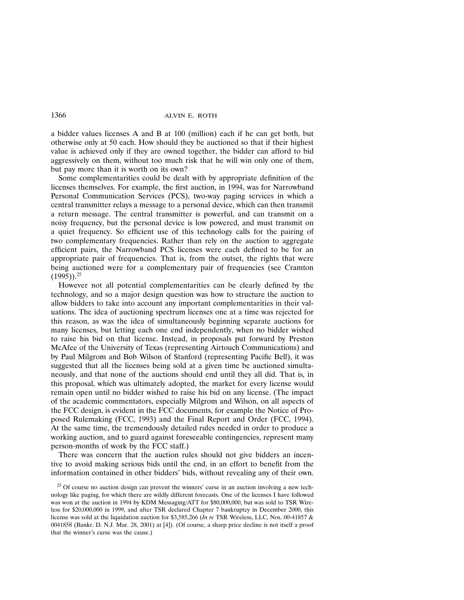a bidder values licenses A and B at 100 (million) each if he can get both, but otherwise only at 50 each. How should they be auctioned so that if their highest value is achieved only if they are owned together, the bidder can afford to bid aggressively on them, without too much risk that he will win only one of them, but pay more than it is worth on its own?

Some complementarities could be dealt with by appropriate definition of the licenses themselves. For example, the first auction, in 1994, was for Narrowband Personal Communication Services (PCS), two-way paging services in which a central transmitter relays a message to a personal device, which can then transmit a return message. The central transmitter is powerful, and can transmit on a noisy frequency, but the personal device is low powered, and must transmit on a quiet frequency. So efficient use of this technology calls for the pairing of two complementary frequencies. Rather than rely on the auction to aggregate efficient pairs, the Narrowband PCS licenses were each defined to be for an appropriate pair of frequencies. That is, from the outset, the rights that were being auctioned were for a complementary pair of frequencies (see Cramton  $(1995)$ <sup>25</sup>

However not all potential complementarities can be clearly defined by the technology, and so a major design question was how to structure the auction to allow bidders to take into account any important complementarities in their valuations. The idea of auctioning spectrum licenses one at a time was rejected for this reason, as was the idea of simultaneously beginning separate auctions for many licenses, but letting each one end independently, when no bidder wished to raise his bid on that license. Instead, in proposals put forward by Preston McAfee of the University of Texas (representing Airtouch Communications) and by Paul Milgrom and Bob Wilson of Stanford (representing Pacific Bell), it was suggested that all the licenses being sold at a given time be auctioned simultaneously, and that none of the auctions should end until they all did. That is, in this proposal, which was ultimately adopted, the market for every license would remain open until no bidder wished to raise his bid on any license. (The impact of the academic commentators, especially Milgrom and Wilson, on all aspects of the FCC design, is evident in the FCC documents, for example the Notice of Proposed Rulemaking (FCC, 1993) and the Final Report and Order (FCC, 1994). At the same time, the tremendously detailed rules needed in order to produce a working auction, and to guard against foreseeable contingencies, represent many person-months of work by the FCC staff.)

There was concern that the auction rules should not give bidders an incentive to avoid making serious bids until the end, in an effort to benefit from the information contained in other bidders' bids, without revealing any of their own.

 $25$  Of course no auction design can prevent the winners' curse in an auction involving a new technology like paging, for which there are wildly different forecasts. One of the licenses I have followed was won at the auction in 1994 by KDM Messaging/ATT for \$80,000,000, but was sold to TSR Wireless for \$20,000,000 in 1999, and after TSR declared Chapter 7 bankruptcy in December 2000, this license was sold at the liquidation auction for \$3,585,266 (In re TSR Wireless, LLC, Nos. 00-41857 & 0041858 (Bankr. D. N.J. Mar. 28, 2001) at [4]). (Of course, a sharp price decline is not itself a proof that the winner's curse was the cause.)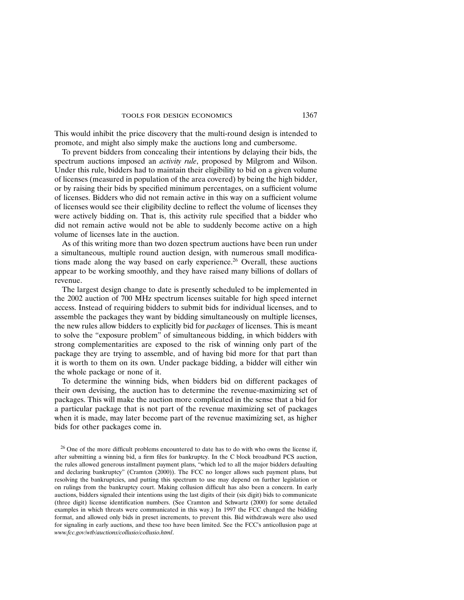This would inhibit the price discovery that the multi-round design is intended to promote, and might also simply make the auctions long and cumbersome.

To prevent bidders from concealing their intentions by delaying their bids, the spectrum auctions imposed an *activity rule*, proposed by Milgrom and Wilson. Under this rule, bidders had to maintain their eligibility to bid on a given volume of licenses (measured in population of the area covered) by being the high bidder, or by raising their bids by specified minimum percentages, on a sufficient volume of licenses. Bidders who did not remain active in this way on a sufficient volume of licenses would see their eligibility decline to reflect the volume of licenses they were actively bidding on. That is, this activity rule specified that a bidder who did not remain active would not be able to suddenly become active on a high volume of licenses late in the auction.

As of this writing more than two dozen spectrum auctions have been run under a simultaneous, multiple round auction design, with numerous small modifications made along the way based on early experience.<sup>26</sup> Overall, these auctions appear to be working smoothly, and they have raised many billions of dollars of revenue.

The largest design change to date is presently scheduled to be implemented in the 2002 auction of 700 MHz spectrum licenses suitable for high speed internet access. Instead of requiring bidders to submit bids for individual licenses, and to assemble the packages they want by bidding simultaneously on multiple licenses, the new rules allow bidders to explicitly bid for packages of licenses. This is meant to solve the "exposure problem" of simultaneous bidding, in which bidders with strong complementarities are exposed to the risk of winning only part of the package they are trying to assemble, and of having bid more for that part than it is worth to them on its own. Under package bidding, a bidder will either win the whole package or none of it.

To determine the winning bids, when bidders bid on different packages of their own devising, the auction has to determine the revenue-maximizing set of packages. This will make the auction more complicated in the sense that a bid for a particular package that is not part of the revenue maximizing set of packages when it is made, may later become part of the revenue maximizing set, as higher bids for other packages come in.

 $26$  One of the more difficult problems encountered to date has to do with who owns the license if, after submitting a winning bid, a firm files for bankruptcy. In the C block broadband PCS auction, the rules allowed generous installment payment plans, "which led to all the major bidders defaulting and declaring bankruptcy" (Cramton (2000)). The FCC no longer allows such payment plans, but resolving the bankruptcies, and putting this spectrum to use may depend on further legislation or on rulings from the bankruptcy court. Making collusion difficult has also been a concern. In early auctions, bidders signaled their intentions using the last digits of their (six digit) bids to communicate (three digit) license identification numbers. (See Cramton and Schwartz (2000) for some detailed examples in which threats were communicated in this way.) In 1997 the FCC changed the bidding format, and allowed only bids in preset increments, to prevent this. Bid withdrawals were also used for signaling in early auctions, and these too have been limited. See the FCC's anticollusion page at www.fcc.gov/wtb/auctions/collusio/collusio.html.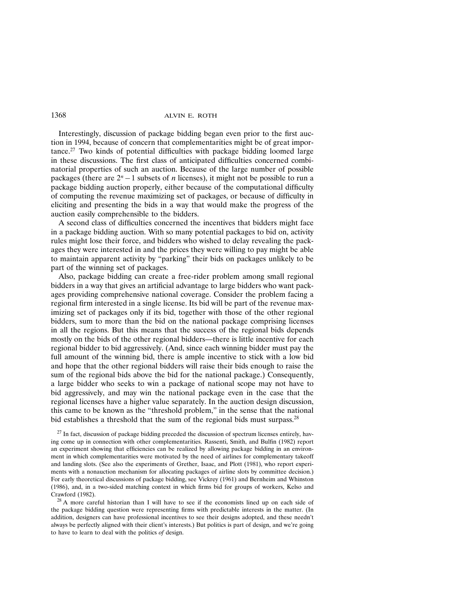Interestingly, discussion of package bidding began even prior to the first auction in 1994, because of concern that complementarities might be of great importance.27 Two kinds of potential difficulties with package bidding loomed large in these discussions. The first class of anticipated difficulties concerned combinatorial properties of such an auction. Because of the large number of possible packages (there are  $2<sup>n</sup> - 1$  subsets of *n* licenses), it might not be possible to run a package bidding auction properly, either because of the computational difficulty of computing the revenue maximizing set of packages, or because of difficulty in eliciting and presenting the bids in a way that would make the progress of the auction easily comprehensible to the bidders.

A second class of difficulties concerned the incentives that bidders might face in a package bidding auction. With so many potential packages to bid on, activity rules might lose their force, and bidders who wished to delay revealing the packages they were interested in and the prices they were willing to pay might be able to maintain apparent activity by "parking" their bids on packages unlikely to be part of the winning set of packages.

Also, package bidding can create a free-rider problem among small regional bidders in a way that gives an artificial advantage to large bidders who want packages providing comprehensive national coverage. Consider the problem facing a regional firm interested in a single license. Its bid will be part of the revenue maximizing set of packages only if its bid, together with those of the other regional bidders, sum to more than the bid on the national package comprising licenses in all the regions. But this means that the success of the regional bids depends mostly on the bids of the other regional bidders—there is little incentive for each regional bidder to bid aggressively. (And, since each winning bidder must pay the full amount of the winning bid, there is ample incentive to stick with a low bid and hope that the other regional bidders will raise their bids enough to raise the sum of the regional bids above the bid for the national package.) Consequently, a large bidder who seeks to win a package of national scope may not have to bid aggressively, and may win the national package even in the case that the regional licenses have a higher value separately. In the auction design discussion, this came to be known as the "threshold problem," in the sense that the national bid establishes a threshold that the sum of the regional bids must surpass.<sup>28</sup>

 $27$  In fact, discussion of package bidding preceded the discussion of spectrum licenses entirely, having come up in connection with other complementarities. Rassenti, Smith, and Bulfin (1982) report an experiment showing that efficiencies can be realized by allowing package bidding in an environment in which complementarities were motivated by the need of airlines for complementary takeoff and landing slots. (See also the experiments of Grether, Isaac, and Plott (1981), who report experiments with a nonauction mechanism for allocating packages of airline slots by committee decision.) For early theoretical discussions of package bidding, see Vickrey (1961) and Bernheim and Whinston (1986), and, in a two-sided matching context in which firms bid for groups of workers, Kelso and Crawford (1982).

 $^{28}$  A more careful historian than I will have to see if the economists lined up on each side of the package bidding question were representing firms with predictable interests in the matter. (In addition, designers can have professional incentives to see their designs adopted, and these needn't always be perfectly aligned with their client's interests.) But politics is part of design, and we're going to have to learn to deal with the politics of design.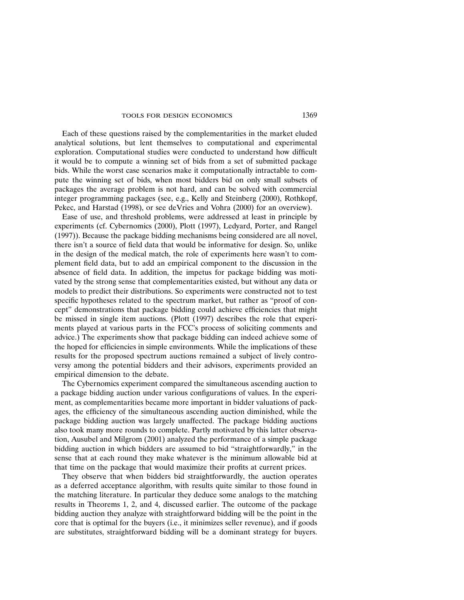Each of these questions raised by the complementarities in the market eluded analytical solutions, but lent themselves to computational and experimental exploration. Computational studies were conducted to understand how difficult it would be to compute a winning set of bids from a set of submitted package bids. While the worst case scenarios make it computationally intractable to compute the winning set of bids, when most bidders bid on only small subsets of packages the average problem is not hard, and can be solved with commercial integer programming packages (see, e.g., Kelly and Steinberg (2000), Rothkopf, Pekec, and Harstad (1998), or see deVries and Vohra (2000) for an overview).

Ease of use, and threshold problems, were addressed at least in principle by experiments (cf. Cybernomics (2000), Plott (1997), Ledyard, Porter, and Rangel (1997)). Because the package bidding mechanisms being considered are all novel, there isn't a source of field data that would be informative for design. So, unlike in the design of the medical match, the role of experiments here wasn't to complement field data, but to add an empirical component to the discussion in the absence of field data. In addition, the impetus for package bidding was motivated by the strong sense that complementarities existed, but without any data or models to predict their distributions. So experiments were constructed not to test specific hypotheses related to the spectrum market, but rather as "proof of concept" demonstrations that package bidding could achieve efficiencies that might be missed in single item auctions. (Plott (1997) describes the role that experiments played at various parts in the FCC's process of soliciting comments and advice.) The experiments show that package bidding can indeed achieve some of the hoped for efficiencies in simple environments. While the implications of these results for the proposed spectrum auctions remained a subject of lively controversy among the potential bidders and their advisors, experiments provided an empirical dimension to the debate.

The Cybernomics experiment compared the simultaneous ascending auction to a package bidding auction under various configurations of values. In the experiment, as complementarities became more important in bidder valuations of packages, the efficiency of the simultaneous ascending auction diminished, while the package bidding auction was largely unaffected. The package bidding auctions also took many more rounds to complete. Partly motivated by this latter observation, Ausubel and Milgrom (2001) analyzed the performance of a simple package bidding auction in which bidders are assumed to bid "straightforwardly," in the sense that at each round they make whatever is the minimum allowable bid at that time on the package that would maximize their profits at current prices.

They observe that when bidders bid straightforwardly, the auction operates as a deferred acceptance algorithm, with results quite similar to those found in the matching literature. In particular they deduce some analogs to the matching results in Theorems 1, 2, and 4, discussed earlier. The outcome of the package bidding auction they analyze with straightforward bidding will be the point in the core that is optimal for the buyers (i.e., it minimizes seller revenue), and if goods are substitutes, straightforward bidding will be a dominant strategy for buyers.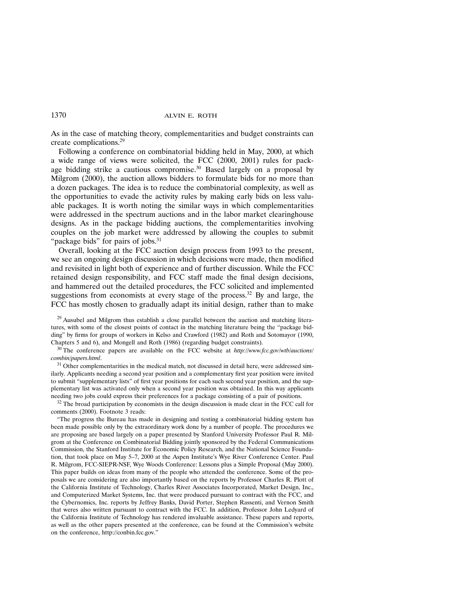As in the case of matching theory, complementarities and budget constraints can create complications.29

Following a conference on combinatorial bidding held in May, 2000, at which a wide range of views were solicited, the FCC (2000, 2001) rules for package bidding strike a cautious compromise.30 Based largely on a proposal by Milgrom  $(2000)$ , the auction allows bidders to formulate bids for no more than a dozen packages. The idea is to reduce the combinatorial complexity, as well as the opportunities to evade the activity rules by making early bids on less valuable packages. It is worth noting the similar ways in which complementarities were addressed in the spectrum auctions and in the labor market clearinghouse designs. As in the package bidding auctions, the complementarities involving couples on the job market were addressed by allowing the couples to submit "package bids" for pairs of jobs.<sup>31</sup>

Overall, looking at the FCC auction design process from 1993 to the present, we see an ongoing design discussion in which decisions were made, then modified and revisited in light both of experience and of further discussion. While the FCC retained design responsibility, and FCC staff made the final design decisions, and hammered out the detailed procedures, the FCC solicited and implemented suggestions from economists at every stage of the process.<sup>32</sup> By and large, the FCC has mostly chosen to gradually adapt its initial design, rather than to make

 $29$  Ausubel and Milgrom thus establish a close parallel between the auction and matching literatures, with some of the closest points of contact in the matching literature being the "package bidding" by firms for groups of workers in Kelso and Crawford (1982) and Roth and Sotomayor (1990, Chapters 5 and 6), and Mongell and Roth (1986) (regarding budget constraints).

<sup>30</sup> The conference papers are available on the FCC website at http://www.fcc.gov/wtb/auctions/ combin/papers.html.

 $31$  Other complementarities in the medical match, not discussed in detail here, were addressed similarly. Applicants needing a second year position and a complementary first year position were invited to submit "supplementary lists" of first year positions for each such second year position, and the supplementary list was activated only when a second year position was obtained. In this way applicants needing two jobs could express their preferences for a package consisting of a pair of positions.

 $32$  The broad participation by economists in the design discussion is made clear in the FCC call for comments (2000). Footnote 3 reads:

"The progress the Bureau has made in designing and testing a combinatorial bidding system has been made possible only by the extraordinary work done by a number of people. The procedures we are proposing are based largely on a paper presented by Stanford University Professor Paul R. Milgrom at the Conference on Combinatorial Bidding jointly sponsored by the Federal Communications Commission, the Stanford Institute for Economic Policy Research, and the National Science Foundation, that took place on May 5–7, 2000 at the Aspen Institute's Wye River Conference Center. Paul R. Milgrom, FCC-SIEPR-NSF, Wye Woods Conference: Lessons plus a Simple Proposal (May 2000). This paper builds on ideas from many of the people who attended the conference. Some of the proposals we are considering are also importantly based on the reports by Professor Charles R. Plott of the California Institute of Technology, Charles River Associates Incorporated, Market Design, Inc., and Computerized Market Systems, Inc. that were produced pursuant to contract with the FCC, and the Cybernomics, Inc. reports by Jeffrey Banks, David Porter, Stephen Rassenti, and Vernon Smith that weres also written pursuant to contract with the FCC. In addition, Professor John Ledyard of the California Institute of Technology has rendered invaluable assistance. These papers and reports, as well as the other papers presented at the conference, can be found at the Commission's website on the conference, http://conbin.fcc.gov."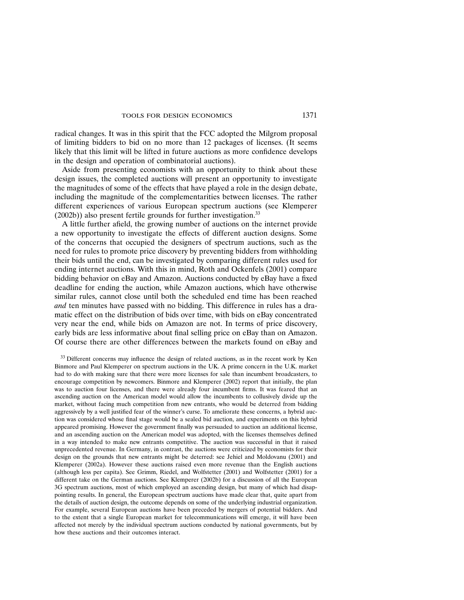radical changes. It was in this spirit that the FCC adopted the Milgrom proposal of limiting bidders to bid on no more than 12 packages of licenses. (It seems likely that this limit will be lifted in future auctions as more confidence develops in the design and operation of combinatorial auctions).

Aside from presenting economists with an opportunity to think about these design issues, the completed auctions will present an opportunity to investigate the magnitudes of some of the effects that have played a role in the design debate, including the magnitude of the complementarities between licenses. The rather different experiences of various European spectrum auctions (see Klemperer (2002b)) also present fertile grounds for further investigation.33

A little further afield, the growing number of auctions on the internet provide a new opportunity to investigate the effects of different auction designs. Some of the concerns that occupied the designers of spectrum auctions, such as the need for rules to promote price discovery by preventing bidders from withholding their bids until the end, can be investigated by comparing different rules used for ending internet auctions. With this in mind, Roth and Ockenfels (2001) compare bidding behavior on eBay and Amazon. Auctions conducted by eBay have a fixed deadline for ending the auction, while Amazon auctions, which have otherwise similar rules, cannot close until both the scheduled end time has been reached and ten minutes have passed with no bidding. This difference in rules has a dramatic effect on the distribution of bids over time, with bids on eBay concentrated very near the end, while bids on Amazon are not. In terms of price discovery, early bids are less informative about final selling price on eBay than on Amazon. Of course there are other differences between the markets found on eBay and

<sup>33</sup> Different concerns may influence the design of related auctions, as in the recent work by Ken Binmore and Paul Klemperer on spectrum auctions in the UK. A prime concern in the U.K. market had to do with making sure that there were more licenses for sale than incumbent broadcasters, to encourage competition by newcomers. Binmore and Klemperer (2002) report that initially, the plan was to auction four licenses, and there were already four incumbent firms. It was feared that an ascending auction on the American model would allow the incumbents to collusively divide up the market, without facing much competition from new entrants, who would be deterred from bidding aggressively by a well justified fear of the winner's curse. To ameliorate these concerns, a hybrid auction was considered whose final stage would be a sealed bid auction, and experiments on this hybrid appeared promising. However the government finally was persuaded to auction an additional license, and an ascending auction on the American model was adopted, with the licenses themselves defined in a way intended to make new entrants competitive. The auction was successful in that it raised unprecedented revenue. In Germany, in contrast, the auctions were criticized by economists for their design on the grounds that new entrants might be deterred: see Jehiel and Moldovanu (2001) and Klemperer (2002a). However these auctions raised even more revenue than the English auctions (although less per capita). See Grimm, Riedel, and Wolfstetter (2001) and Wolfstetter (2001) for a different take on the German auctions. See Klemperer (2002b) for a discussion of all the European 3G spectrum auctions, most of which employed an ascending design, but many of which had disappointing results. In general, the European spectrum auctions have made clear that, quite apart from the details of auction design, the outcome depends on some of the underlying industrial organization. For example, several European auctions have been preceded by mergers of potential bidders. And to the extent that a single European market for telecommunications will emerge, it will have been affected not merely by the individual spectrum auctions conducted by national governments, but by how these auctions and their outcomes interact.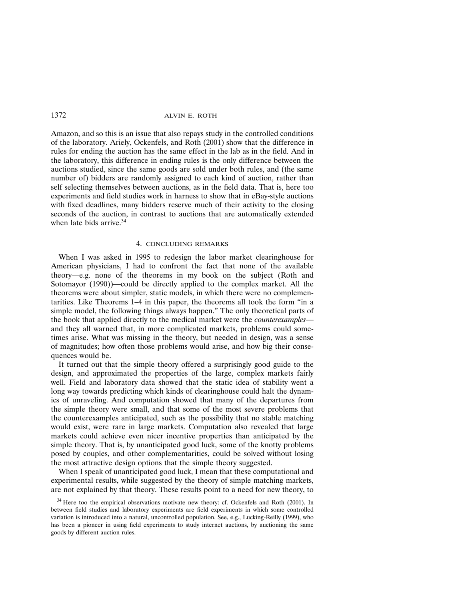Amazon, and so this is an issue that also repays study in the controlled conditions of the laboratory. Ariely, Ockenfels, and Roth (2001) show that the difference in rules for ending the auction has the same effect in the lab as in the field. And in the laboratory, this difference in ending rules is the only difference between the auctions studied, since the same goods are sold under both rules, and (the same number of) bidders are randomly assigned to each kind of auction, rather than self selecting themselves between auctions, as in the field data. That is, here too experiments and field studies work in harness to show that in eBay-style auctions with fixed deadlines, many bidders reserve much of their activity to the closing seconds of the auction, in contrast to auctions that are automatically extended when late bids arrive.<sup>34</sup>

## 4. CONCLUDING REMARKS

When I was asked in 1995 to redesign the labor market clearinghouse for American physicians, I had to confront the fact that none of the available theory—e.g. none of the theorems in my book on the subject (Roth and Sotomayor (1990))—could be directly applied to the complex market. All the theorems were about simpler, static models, in which there were no complementarities. Like Theorems 1–4 in this paper, the theorems all took the form "in a simple model, the following things always happen." The only theoretical parts of the book that applied directly to the medical market were the counterexamples and they all warned that, in more complicated markets, problems could sometimes arise. What was missing in the theory, but needed in design, was a sense of magnitudes; how often those problems would arise, and how big their consequences would be.

It turned out that the simple theory offered a surprisingly good guide to the design, and approximated the properties of the large, complex markets fairly well. Field and laboratory data showed that the static idea of stability went a long way towards predicting which kinds of clearinghouse could halt the dynamics of unraveling. And computation showed that many of the departures from the simple theory were small, and that some of the most severe problems that the counterexamples anticipated, such as the possibility that no stable matching would exist, were rare in large markets. Computation also revealed that large markets could achieve even nicer incentive properties than anticipated by the simple theory. That is, by unanticipated good luck, some of the knotty problems posed by couples, and other complementarities, could be solved without losing the most attractive design options that the simple theory suggested.

When I speak of unanticipated good luck, I mean that these computational and experimental results, while suggested by the theory of simple matching markets, are not explained by that theory. These results point to a need for new theory, to

 $34$  Here too the empirical observations motivate new theory: cf. Ockenfels and Roth (2001). In between field studies and laboratory experiments are field experiments in which some controlled variation is introduced into a natural, uncontrolled population. See, e.g., Lucking-Reilly (1999), who has been a pioneer in using field experiments to study internet auctions, by auctioning the same goods by different auction rules.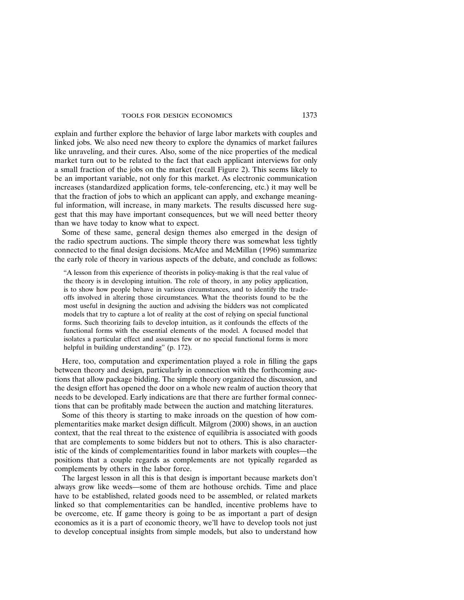explain and further explore the behavior of large labor markets with couples and linked jobs. We also need new theory to explore the dynamics of market failures like unraveling, and their cures. Also, some of the nice properties of the medical market turn out to be related to the fact that each applicant interviews for only a small fraction of the jobs on the market (recall Figure 2). This seems likely to be an important variable, not only for this market. As electronic communication increases (standardized application forms, tele-conferencing, etc.) it may well be that the fraction of jobs to which an applicant can apply, and exchange meaningful information, will increase, in many markets. The results discussed here suggest that this may have important consequences, but we will need better theory than we have today to know what to expect.

Some of these same, general design themes also emerged in the design of the radio spectrum auctions. The simple theory there was somewhat less tightly connected to the final design decisions. McAfee and McMillan (1996) summarize the early role of theory in various aspects of the debate, and conclude as follows:

"A lesson from this experience of theorists in policy-making is that the real value of the theory is in developing intuition. The role of theory, in any policy application, is to show how people behave in various circumstances, and to identify the tradeoffs involved in altering those circumstances. What the theorists found to be the most useful in designing the auction and advising the bidders was not complicated models that try to capture a lot of reality at the cost of relying on special functional forms. Such theorizing fails to develop intuition, as it confounds the effects of the functional forms with the essential elements of the model. A focused model that isolates a particular effect and assumes few or no special functional forms is more helpful in building understanding" (p. 172).

Here, too, computation and experimentation played a role in filling the gaps between theory and design, particularly in connection with the forthcoming auctions that allow package bidding. The simple theory organized the discussion, and the design effort has opened the door on a whole new realm of auction theory that needs to be developed. Early indications are that there are further formal connections that can be profitably made between the auction and matching literatures.

Some of this theory is starting to make inroads on the question of how complementarities make market design difficult. Milgrom (2000) shows, in an auction context, that the real threat to the existence of equilibria is associated with goods that are complements to some bidders but not to others. This is also characteristic of the kinds of complementarities found in labor markets with couples—the positions that a couple regards as complements are not typically regarded as complements by others in the labor force.

The largest lesson in all this is that design is important because markets don't always grow like weeds—some of them are hothouse orchids. Time and place have to be established, related goods need to be assembled, or related markets linked so that complementarities can be handled, incentive problems have to be overcome, etc. If game theory is going to be as important a part of design economics as it is a part of economic theory, we'll have to develop tools not just to develop conceptual insights from simple models, but also to understand how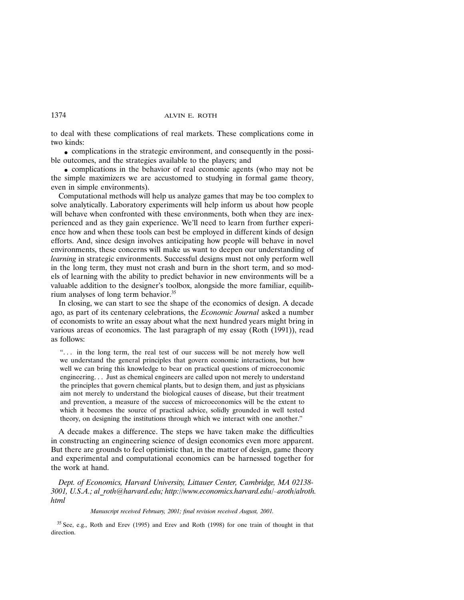### 1374 **ALVIN E. ROTH**

to deal with these complications of real markets. These complications come in two kinds:

• complications in the strategic environment, and consequently in the possible outcomes, and the strategies available to the players; and

• complications in the behavior of real economic agents (who may not be the simple maximizers we are accustomed to studying in formal game theory, even in simple environments).

Computational methods will help us analyze games that may be too complex to solve analytically. Laboratory experiments will help inform us about how people will behave when confronted with these environments, both when they are inexperienced and as they gain experience. We'll need to learn from further experience how and when these tools can best be employed in different kinds of design efforts. And, since design involves anticipating how people will behave in novel environments, these concerns will make us want to deepen our understanding of learning in strategic environments. Successful designs must not only perform well in the long term, they must not crash and burn in the short term, and so models of learning with the ability to predict behavior in new environments will be a valuable addition to the designer's toolbox, alongside the more familiar, equilibrium analyses of long term behavior.35

In closing, we can start to see the shape of the economics of design. A decade ago, as part of its centenary celebrations, the Economic Journal asked a number of economists to write an essay about what the next hundred years might bring in various areas of economics. The last paragraph of my essay (Roth (1991)), read as follows:

"... in the long term, the real test of our success will be not merely how well we understand the general principles that govern economic interactions, but how well we can bring this knowledge to bear on practical questions of microeconomic engineering... Just as chemical engineers are called upon not merely to understand the principles that govern chemical plants, but to design them, and just as physicians aim not merely to understand the biological causes of disease, but their treatment and prevention, a measure of the success of microeconomics will be the extent to which it becomes the source of practical advice, solidly grounded in well tested theory, on designing the institutions through which we interact with one another."

A decade makes a difference. The steps we have taken make the difficulties in constructing an engineering science of design economics even more apparent. But there are grounds to feel optimistic that, in the matter of design, game theory and experimental and computational economics can be harnessed together for the work at hand.

Dept. of Economics, Harvard University, Littauer Center, Cambridge, MA 02138- 3001, U.S.A.; al\_roth@harvard.edu; http://www.economics.harvard.edu/∼aroth/alroth. html

Manuscript received February, 2001; final revision received August, 2001.

<sup>35</sup> See, e.g., Roth and Erev (1995) and Erev and Roth (1998) for one train of thought in that direction.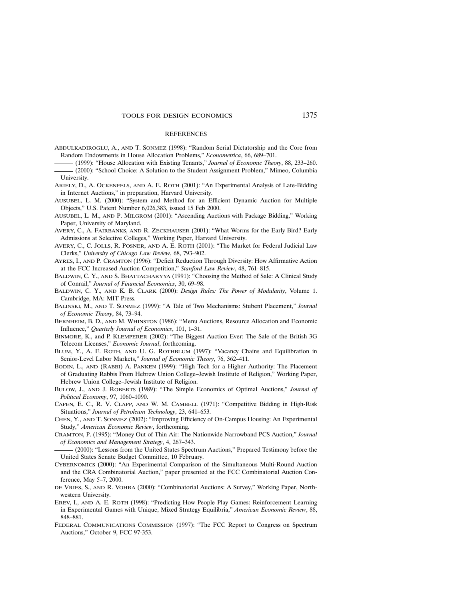#### **REFERENCES**

Abdulkadiroglu, A., and T. Sonmez (1998): "Random Serial Dictatorship and the Core from Random Endowments in House Allocation Problems," Econometrica, 66, 689–701.

- Ariely, D., A. Ockenfels, and A. E. Roth (2001): "An Experimental Analysis of Late-Bidding in Internet Auctions," in preparation, Harvard University.
- Ausubel, L. M. (2000): "System and Method for an Efficient Dynamic Auction for Multiple Objects," U.S. Patent Number 6,026,383, issued 15 Feb 2000.
- Ausubel, L. M., and P. Milgrom (2001): "Ascending Auctions with Package Bidding," Working Paper, University of Maryland.
- Avery, C., A. Fairbanks, and R. Zeckhauser (2001): "What Worms for the Early Bird? Early Admissions at Selective Colleges," Working Paper, Harvard University.
- Avery, C., C. Jolls, R. Posner, and A. E. Roth (2001): "The Market for Federal Judicial Law Clerks," University of Chicago Law Review, 68, 793–902.
- Ayres, I., and P. Cramton (1996): "Deficit Reduction Through Diversity: How Affirmative Action at the FCC Increased Auction Competition," Stanford Law Review, 48, 761–815.
- BALDWIN, C. Y., AND S. BHATTACHARYYA (1991): "Choosing the Method of Sale: A Clinical Study of Conrail," Journal of Financial Economics, 30, 69–98.
- BALDWIN, C. Y., AND K. B. CLARK (2000): Design Rules: The Power of Modularity, Volume 1. Cambridge, MA: MIT Press.
- BALINSKI, M., AND T. SONMEZ (1999): "A Tale of Two Mechanisms: Stubent Placement," Journal of Economic Theory, 84, 73–94.
- Bernheim, B. D., and M. Whinston (1986): "Menu Auctions, Resource Allocation and Economic Influence," Quarterly Journal of Economics, 101, 1–31.
- Binmore, K., and P. Klemperer (2002): "The Biggest Auction Ever: The Sale of the British 3G Telecom Licenses," Economic Journal, forthcoming.
- BLUM, Y., A. E. ROTH, AND U. G. ROTHBLUM (1997): "Vacancy Chains and Equilibration in Senior-Level Labor Markets," Journal of Economic Theory, 76, 362-411.
- Bodin, L., and (Rabbi) A. Panken (1999): "High Tech for a Higher Authority: The Placement of Graduating Rabbis From Hebrew Union College–Jewish Institute of Religion," Working Paper, Hebrew Union College–Jewish Institute of Religion.
- BULOW, J., AND J. ROBERTS (1989): "The Simple Economics of Optimal Auctions," Journal of Political Economy, 97, 1060–1090.
- Capen, E. C., R. V. Clapp, and W. M. Cambell (1971): "Competitive Bidding in High-Risk Situations," Journal of Petroleum Technology, 23, 641–653.
- Chen, Y., and T. Sonmez (2002): "Improving Efficiency of On-Campus Housing: An Experimental Study," American Economic Review, forthcoming.
- Cramton, P. (1995): "Money Out of Thin Air: The Nationwide Narrowband PCS Auction," Journal of Economics and Management Strategy, 4, 267–343.
- (2000): "Lessons from the United States Spectrum Auctions," Prepared Testimony before the United States Senate Budget Committee, 10 February.
- Cybernomics (2000): "An Experimental Comparison of the Simultaneous Multi-Round Auction and the CRA Combinatorial Auction," paper presented at the FCC Combinatorial Auction Conference, May 5–7, 2000.
- de Vries, S., and R. Vohra (2000): "Combinatorial Auctions: A Survey," Working Paper, Northwestern University.
- Erev, I., and A. E. Roth (1998): "Predicting How People Play Games: Reinforcement Learning in Experimental Games with Unique, Mixed Strategy Equilibria," American Economic Review, 88, 848–881.
- Federal Communications Commission (1997): "The FCC Report to Congress on Spectrum Auctions," October 9, FCC 97-353.

<sup>(1999): &</sup>quot;House Allocation with Existing Tenants," Journal of Economic Theory, 88, 233-260. (2000): "School Choice: A Solution to the Student Assignment Problem," Mimeo, Columbia University.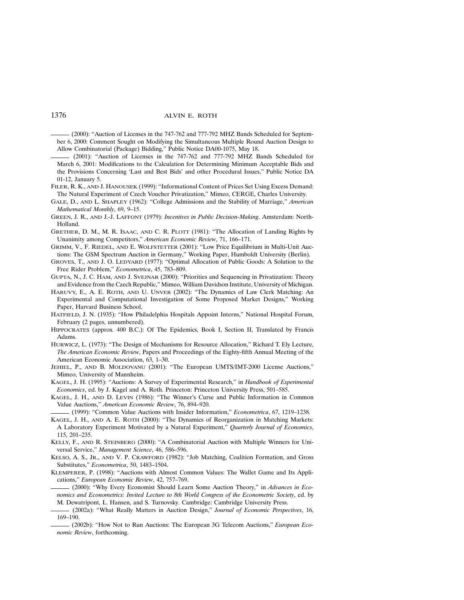#### 1376 **ALVIN E. ROTH**

(2000): "Auction of Licenses in the 747-762 and 777-792 MHZ Bands Scheduled for September 6, 2000: Comment Sought on Modifying the Simultaneous Multiple Round Auction Design to Allow Combinatorial (Package) Bidding," Public Notice DA00-1075, May 18.

(2001): "Auction of Licenses in the 747-762 and 777-792 MHZ Bands Scheduled for March 6, 2001: Modifications to the Calculation for Determining Minimum Acceptable Bids and the Provisions Concerning 'Last and Best Bids' and other Procedural Issues," Public Notice DA 01-12, January 5.

- FILER, R. K., AND J. HANOUSEK (1999): "Informational Content of Prices Set Using Excess Demand: The Natural Experiment of Czech Voucher Privatization," Mimeo, CERGE, Charles University.
- GALE, D., AND L. SHAPLEY (1962): "College Admissions and the Stability of Marriage," American Mathematical Monthly, 69, 9–15.
- GREEN, J. R., AND J.-J. LAFFONT (1979): Incentives in Public Decision-Making. Amsterdam: North-Holland.
- GRETHER, D. M., M. R. ISAAC, AND C. R. PLOTT (1981): "The Allocation of Landing Rights by Unanimity among Competitors," American Economic Review, 71, 166–171.
- GRIMM, V., F. RIEDEL, AND E. WOLFSTETTER (2001): "Low Price Equilibrium in Multi-Unit Auctions: The GSM Spectrum Auction in Germany," Working Paper, Humboldt University (Berlin).
- GROVES, T., AND J. O. LEDYARD (1977): "Optimal Allocation of Public Goods: A Solution to the Free Rider Problem," Econometrica, 45, 783–809.
- Gupta, N., J. C. Ham, and J. Svejnar (2000): "Priorities and Sequencing in Privatization: Theory and Evidence from the Czech Republic," Mimeo, William Davidson Institute, University of Michigan.
- Haruvy, E., A. E. Roth, and U. Unver (2002): "The Dynamics of Law Clerk Matching: An Experimental and Computational Investigation of Some Proposed Market Designs," Working Paper, Harvard Business School.
- HATFIELD, J. N. (1935): "How Philadelphia Hospitals Appoint Interns," National Hospital Forum, February (2 pages, unnumbered).
- Hippocrates (approx. 400 B.C.): Of The Epidemics, Book I, Section II, Translated by Francis Adams.
- Hurwicz, L. (1973): "The Design of Mechanisms for Resource Allocation," Richard T. Ely Lecture, The American Economic Review, Papers and Proceedings of the Eighty-fifth Annual Meeting of the American Economic Association, 63, 1–30.
- JEHIEL, P., AND B. MOLDOVANU (2001): "The European UMTS/IMT-2000 License Auctions," Mimeo, University of Mannheim.
- KAGEL, J. H. (1995): "Auctions: A Survey of Experimental Research," in Handbook of Experimental Economics, ed. by J. Kagel and A. Roth. Princeton: Princeton University Press, 501–585.
- Kagel, J. H., and D. Levin (1986): "The Winner's Curse and Public Information in Common Value Auctions," American Economic Review, 76, 894–920.
- (1999): "Common Value Auctions with Insider Information," Econometrica, 67, 1219–1238.
- Kagel, J. H., and A. E. Roth (2000): "The Dynamics of Reorganization in Matching Markets: A Laboratory Experiment Motivated by a Natural Experiment," Quarterly Journal of Economics, 115, 201–235.
- Kelly, F., and R. Steinberg (2000): "A Combinatorial Auction with Multiple Winners for Universal Service," Management Science, 46, 586–596.
- KELSO, A. S., JR., AND V. P. CRAWFORD (1982): "Job Matching, Coalition Formation, and Gross Substitutes," Econometrica, 50, 1483–1504.
- Klemperer, P. (1998): "Auctions with Almost Common Values: The Wallet Game and Its Applications," European Economic Review, 42, 757–769.
- (2000): "Why Every Economist Should Learn Some Auction Theory," in Advances in Economics and Econometrics: Invited Lecture to 8th World Congress of the Econometric Society, ed. by M. Dewatripont, L. Hansen, and S. Turnovsky. Cambridge: Cambridge University Press.
- (2002a): "What Really Matters in Auction Design," Journal of Economic Perspectives, 16, 169–190.
- (2002b): "How Not to Run Auctions: The European 3G Telecom Auctions," *European Eco*nomic Review, forthcoming.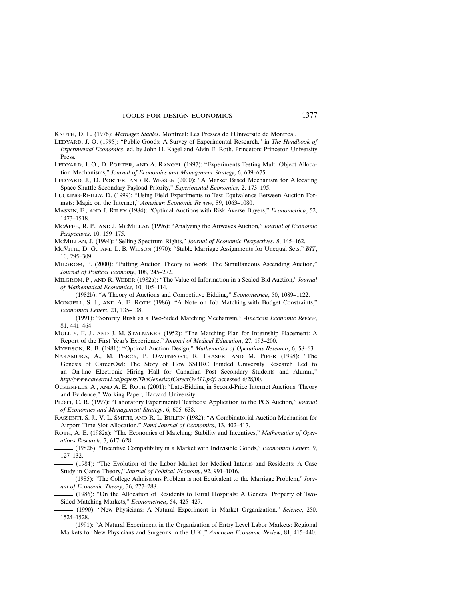- Knuth, D. E. (1976): Marriages Stables. Montreal: Les Presses de l'Universite de Montreal.
- LEDYARD, J. O. (1995): "Public Goods: A Survey of Experimental Research," in The Handbook of Experimental Economics, ed. by John H. Kagel and Alvin E. Roth. Princeton: Princeton University Press.
- Ledyard, J. O., D. Porter, and A. Rangel (1997): "Experiments Testing Multi Object Allocation Mechanisms," Journal of Economics and Management Strategy, 6, 639–675.
- Ledyard, J., D. Porter, and R. Wessen (2000): "A Market Based Mechanism for Allocating Space Shuttle Secondary Payload Priority," Experimental Economics, 2, 173–195.
- Lucking-Reilly, D. (1999): "Using Field Experiments to Test Equivalence Between Auction Formats: Magic on the Internet," American Economic Review, 89, 1063–1080.
- Maskin, E., and J. Riley (1984): "Optimal Auctions with Risk Averse Buyers," Econometrica, 52, 1473–1518.
- MCAFEE, R. P., AND J. MCMILLAN (1996): "Analyzing the Airwaves Auction," Journal of Economic Perspectives, 10, 159–175.
- MCMILLAN, J. (1994): "Selling Spectrum Rights," Journal of Economic Perspectives, 8, 145-162.
- McVitie, D. G., and L. B. Wilson (1970): "Stable Marriage Assignments for Unequal Sets," BIT, 10, 295–309.
- Milgrom, P. (2000): "Putting Auction Theory to Work: The Simultaneous Ascending Auction," Journal of Political Economy, 108, 245–272.
- MILGROM, P., AND R. WEBER (1982a): "The Value of Information in a Sealed-Bid Auction," Journal of Mathematical Economics, 10, 105–114.
- (1982b): "A Theory of Auctions and Competitive Bidding," Econometrica, 50, 1089–1122.
- MONGELL, S. J., AND A. E. ROTH (1986): "A Note on Job Matching with Budget Constraints," Economics Letters, 21, 135–138.
- (1991): "Sorority Rush as a Two-Sided Matching Mechanism," American Economic Review, 81, 441–464.
- Mullin, F. J., and J. M. Stalnaker (1952): "The Matching Plan for Internship Placement: A Report of the First Year's Experience," Journal of Medical Education, 27, 193–200.
- Myerson, R. B. (1981): "Optimal Auction Design," Mathematics of Operations Research, 6, 58–63.
- Nakamura, A., M. Percy, P. Davenport, R. Fraser, and M. Piper (1998): "The Genesis of CareerOwl: The Story of How SSHRC Funded University Research Led to an On-line Electronic Hiring Hall for Canadian Post Secondary Students and Alumni," http://www.careerowl.ca/papers/TheGenesisofCareerOwl11.pdf, accessed 6/28/00.
- Ockenfels, A., and A. E. Roth (2001): "Late-Bidding in Second-Price Internet Auctions: Theory and Evidence," Working Paper, Harvard University.
- PLOTT, C. R. (1997): "Laboratory Experimental Testbeds: Application to the PCS Auction," Journal of Economics and Management Strategy, 6, 605–638.
- Rassenti, S. J., V. L. Smith, and R. L. Bulfin (1982): "A Combinatorial Auction Mechanism for Airport Time Slot Allocation," Rand Journal of Economics, 13, 402–417.
- ROTH, A. E. (1982a): "The Economics of Matching: Stability and Incentives," Mathematics of Operations Research, 7, 617–628.
- (1982b): "Incentive Compatibility in a Market with Indivisible Goods," *Economics Letters*, 9, 127–132.
- (1984): "The Evolution of the Labor Market for Medical Interns and Residents: A Case Study in Game Theory," Journal of Political Economy, 92, 991–1016.
- (1985): "The College Admissions Problem is not Equivalent to the Marriage Problem," Journal of Economic Theory, 36, 277–288.
- (1986): "On the Allocation of Residents to Rural Hospitals: A General Property of Two-Sided Matching Markets," Econometrica, 54, 425–427.

(1990): "New Physicians: A Natural Experiment in Market Organization," Science, 250, 1524–1528.

(1991): "A Natural Experiment in the Organization of Entry Level Labor Markets: Regional Markets for New Physicians and Surgeons in the U.K.," American Economic Review, 81, 415–440.